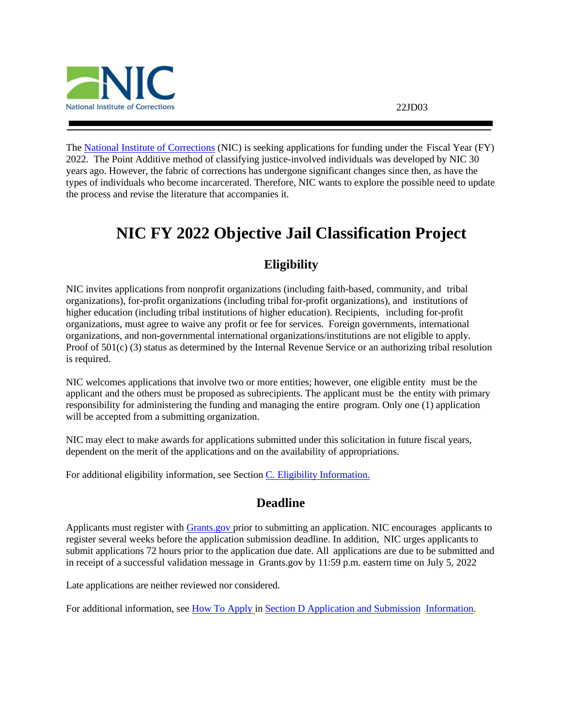

The [National Institute of Corrections](http://www.nicic.gov/) (NIC) is seeking applications for funding under the Fiscal Year (FY) 2022. The Point Additive method of classifying justice-involved individuals was developed by NIC 30 years ago. However, the fabric of corrections has undergone significant changes since then, as have the types of individuals who become incarcerated. Therefore, NIC wants to explore the possible need to update the process and revise the literature that accompanies it.

# <span id="page-0-0"></span>**NIC FY 2022 Objective Jail Classification Project**

# **Eligibility**

<span id="page-0-1"></span>NIC invites applications from nonprofit organizations (including faith-based, community, and tribal organizations), for-profit organizations (including tribal for-profit organizations), and institutions of higher education (including tribal institutions of higher education). Recipients, including for-profit organizations, must agree to waive any profit or fee for services. Foreign governments, international organizations, and non-governmental international organizations/institutions are not eligible to apply. Proof of 501(c) (3) status as determined by the Internal Revenue Service or an authorizing tribal resolution is required.

NIC welcomes applications that involve two or more entities; however, one eligible entity must be the applicant and the others must be proposed as subrecipients. The applicant must be the entity with primary responsibility for administering the funding and managing the entire program. Only one (1) application will be accepted from a submitting organization.

NIC may elect to make awards for applications submitted under this solicitation in future fiscal years, dependent on the merit of the applications and on the availability of appropriations.

<span id="page-0-2"></span>For additional eligibility information, see Section C. [Eligibility Information.](#page-11-0)

# **Deadline**

Applicants must register with [Grants.gov](https://www.grants.gov/web/grants/register.html) prior to submitting an application. NIC encourages applicants to register several weeks before the application submission deadline. In addition, NIC urges applicants to submit applications 72 hours prior to the application due date. All applications are due to be submitted and in receipt of a successful validation message in Grants.gov by 11:59 p.m. eastern time on July 5, 2022

Late applications are neither reviewed nor considered.

For additional information, see How [To Apply](#page-21-0) in Section D [Application](#page-11-1) and Submission Information.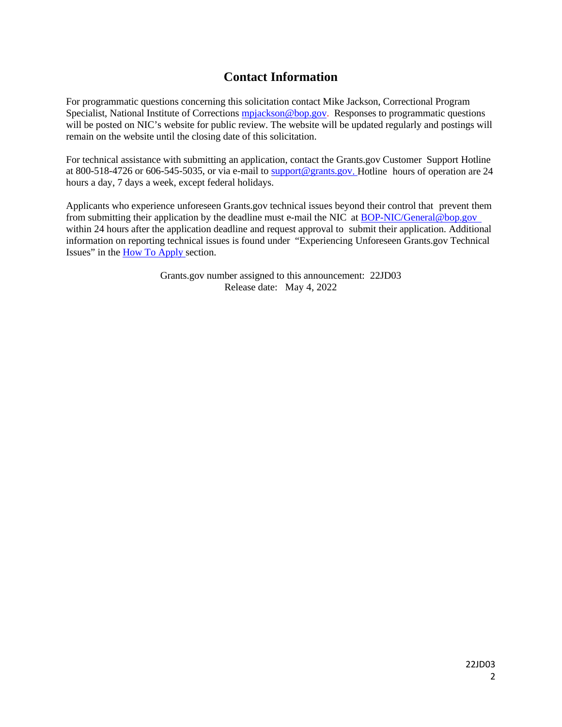# **Contact Information**

<span id="page-1-0"></span>For programmatic questions concerning this solicitation contact Mike Jackson, Correctional Program Specialist, National Institute of Corrections [mpjackson@bop.gov.](mailto:mpjackson@bop.gov) Responses to programmatic questions will be posted on NIC's website for public review. The website will be updated regularly and postings will remain on the website until the closing date of this solicitation.

For technical assistance with submitting an application, contact the Grants.gov Customer Support Hotline at 800-518-4726 or 606-545-5035, or via e-mail to [support@grants.gov.](mailto:support@grants.gov) Hotline hours of operation are 24 hours a day, 7 days a week, except federal holidays.

Applicants who experience unforeseen Grants.gov technical issues beyond their control that prevent them from submitting their application by the deadline must e-mail the NIC at [BOP-NIC/General@bop.gov](mailto:BOP-NIC/General@bop.gov)  within 24 hours after the application deadline and request approval to submit their application. Additional information on reporting technical issues is found under "Experiencing Unforeseen Grants.gov Technical Issues" in the How To [Apply s](#page-21-0)ection.

> Grants.gov number assigned to this announcement: 22JD03 Release date: May 4, 2022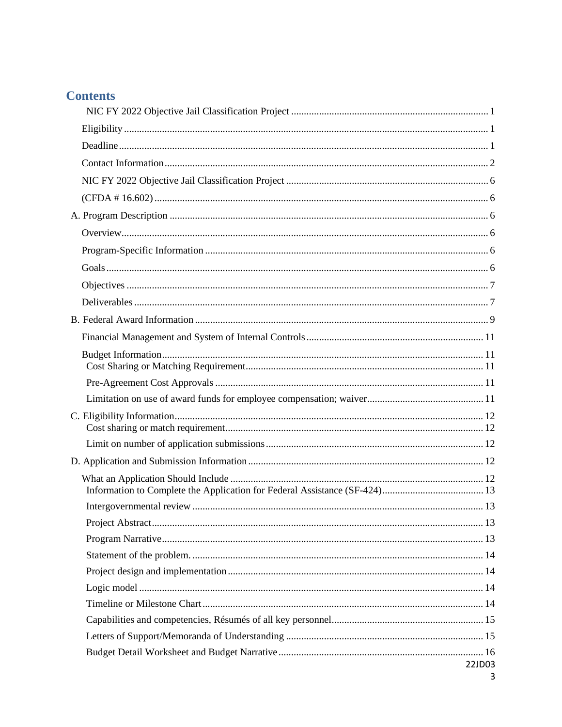| <b>Contents</b> |        |
|-----------------|--------|
|                 |        |
|                 |        |
|                 |        |
|                 |        |
|                 |        |
|                 |        |
|                 |        |
|                 |        |
|                 |        |
|                 |        |
|                 |        |
|                 |        |
|                 |        |
|                 |        |
|                 |        |
|                 |        |
|                 |        |
|                 |        |
|                 |        |
|                 |        |
|                 |        |
|                 |        |
|                 |        |
|                 |        |
|                 |        |
|                 |        |
|                 |        |
|                 |        |
|                 |        |
|                 |        |
|                 |        |
|                 |        |
|                 | 22JD03 |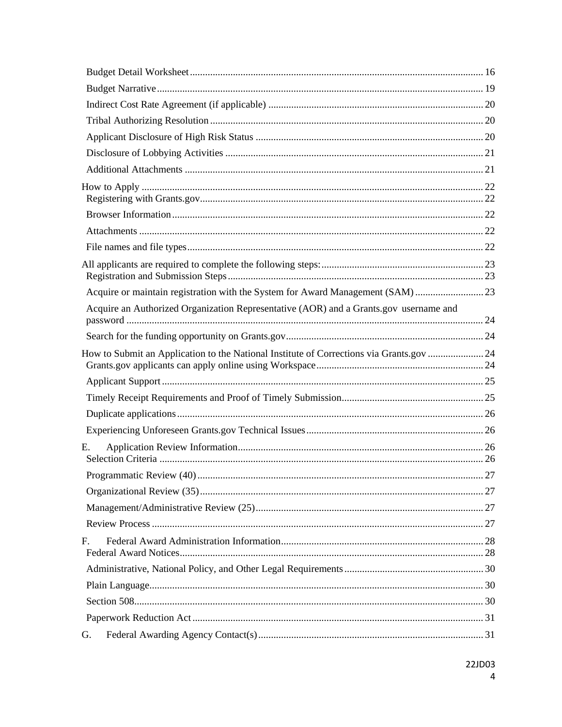| Acquire or maintain registration with the System for Award Management (SAM) 23          |    |
|-----------------------------------------------------------------------------------------|----|
| Acquire an Authorized Organization Representative (AOR) and a Grants.gov username and   |    |
|                                                                                         |    |
| How to Submit an Application to the National Institute of Corrections via Grants.gov 24 |    |
|                                                                                         |    |
|                                                                                         |    |
|                                                                                         |    |
|                                                                                         |    |
| Е.                                                                                      |    |
|                                                                                         | 27 |
|                                                                                         |    |
|                                                                                         |    |
|                                                                                         |    |
| F.                                                                                      |    |
|                                                                                         |    |
|                                                                                         |    |
|                                                                                         |    |
|                                                                                         |    |
| G.                                                                                      |    |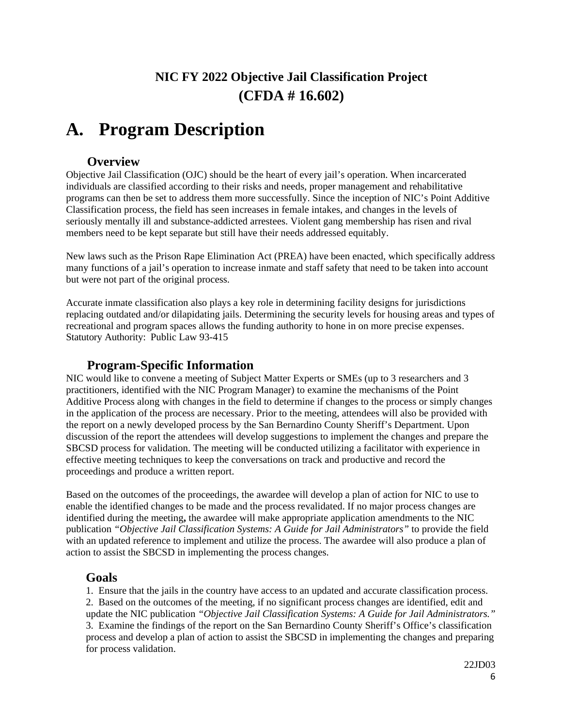# **NIC FY 2022 Objective Jail Classification Project (CFDA # 16.602)**

# <span id="page-5-2"></span><span id="page-5-1"></span><span id="page-5-0"></span>**A. Program Description**

# **Overview**

<span id="page-5-3"></span>Objective Jail Classification (OJC) should be the heart of every jail's operation. When incarcerated individuals are classified according to their risks and needs, proper management and rehabilitative programs can then be set to address them more successfully. Since the inception of NIC's Point Additive Classification process, the field has seen increases in female intakes, and changes in the levels of seriously mentally ill and substance-addicted arrestees. Violent gang membership has risen and rival members need to be kept separate but still have their needs addressed equitably.

New laws such as the Prison Rape Elimination Act (PREA) have been enacted, which specifically address many functions of a jail's operation to increase inmate and staff safety that need to be taken into account but were not part of the original process.

Accurate inmate classification also plays a key role in determining facility designs for jurisdictions replacing outdated and/or dilapidating jails. Determining the security levels for housing areas and types of recreational and program spaces allows the funding authority to hone in on more precise expenses. Statutory Authority: Public Law 93-415

# **Program-Specific Information**

<span id="page-5-4"></span>NIC would like to convene a meeting of Subject Matter Experts or SMEs (up to 3 researchers and 3 practitioners, identified with the NIC Program Manager) to examine the mechanisms of the Point Additive Process along with changes in the field to determine if changes to the process or simply changes in the application of the process are necessary. Prior to the meeting, attendees will also be provided with the report on a newly developed process by the San Bernardino County Sheriff's Department. Upon discussion of the report the attendees will develop suggestions to implement the changes and prepare the SBCSD process for validation. The meeting will be conducted utilizing a facilitator with experience in effective meeting techniques to keep the conversations on track and productive and record the proceedings and produce a written report.

Based on the outcomes of the proceedings, the awardee will develop a plan of action for NIC to use to enable the identified changes to be made and the process revalidated. If no major process changes are identified during the meeting**,** the awardee will make appropriate application amendments to the NIC publication *"Objective Jail Classification Systems: A Guide for Jail Administrators"* to provide the field with an updated reference to implement and utilize the process. The awardee will also produce a plan of action to assist the SBCSD in implementing the process changes.

# <span id="page-5-5"></span>**Goals**

1. Ensure that the jails in the country have access to an updated and accurate classification process. 2. Based on the outcomes of the meeting, if no significant process changes are identified, edit and update the NIC publication *"Objective Jail Classification Systems: A Guide for Jail Administrators."* 3. Examine the findings of the report on the San Bernardino County Sheriff's Office's classification process and develop a plan of action to assist the SBCSD in implementing the changes and preparing for process validation.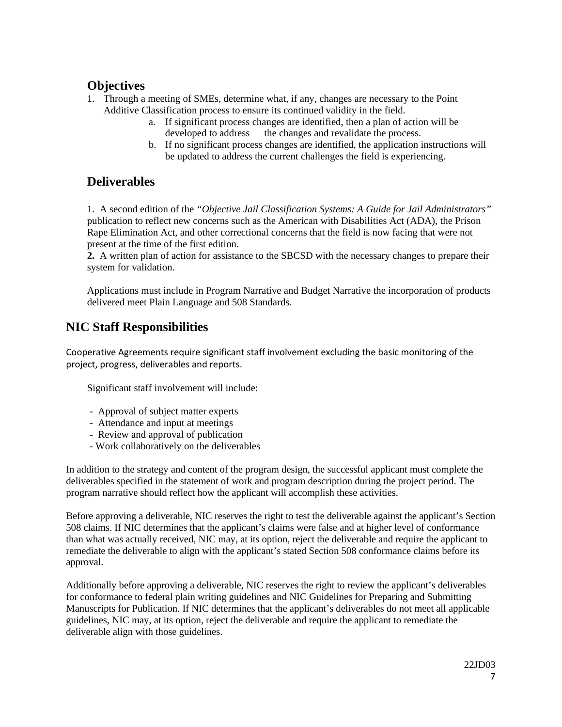# <span id="page-6-0"></span>**Objectives**

- 1. Through a meeting of SMEs, determine what, if any, changes are necessary to the Point Additive Classification process to ensure its continued validity in the field.
	- a. If significant process changes are identified, then a plan of action will be developed to address the changes and revalidate the process.
	- b. If no significant process changes are identified, the application instructions will be updated to address the current challenges the field is experiencing.

# <span id="page-6-1"></span>**Deliverables**

1. A second edition of the *"Objective Jail Classification Systems: A Guide for Jail Administrators"* publication to reflect new concerns such as the American with Disabilities Act (ADA), the Prison Rape Elimination Act, and other correctional concerns that the field is now facing that were not present at the time of the first edition.

**2.** A written plan of action for assistance to the SBCSD with the necessary changes to prepare their system for validation.

Applications must include in Program Narrative and Budget Narrative the incorporation of products delivered meet Plain Language and 508 Standards.

# **NIC Staff Responsibilities**

Cooperative Agreements require significant staff involvement excluding the basic monitoring of the project, progress, deliverables and reports.

Significant staff involvement will include:

- Approval of subject matter experts
- Attendance and input at meetings
- Review and approval of publication
- Work collaboratively on the deliverables

In addition to the strategy and content of the program design, the successful applicant must complete the deliverables specified in the statement of work and program description during the project period. The program narrative should reflect how the applicant will accomplish these activities.

Before approving a deliverable, NIC reserves the right to test the deliverable against the applicant's Section 508 claims. If NIC determines that the applicant's claims were false and at higher level of conformance than what was actually received, NIC may, at its option, reject the deliverable and require the applicant to remediate the deliverable to align with the applicant's stated Section 508 conformance claims before its approval.

Additionally before approving a deliverable, NIC reserves the right to review the applicant's deliverables for conformance to federal plain writing guidelines and NIC Guidelines for Preparing and Submitting Manuscripts for Publication. If NIC determines that the applicant's deliverables do not meet all applicable guidelines, NIC may, at its option, reject the deliverable and require the applicant to remediate the deliverable align with those guidelines.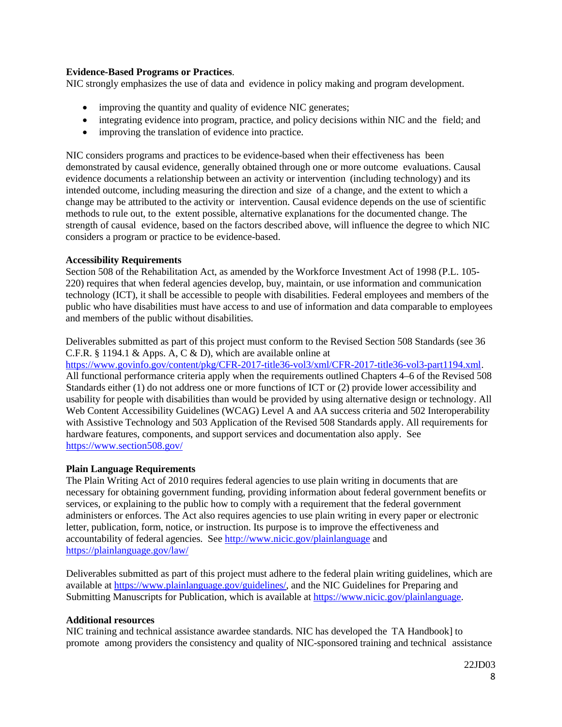## **Evidence-Based Programs or Practices**.

NIC strongly emphasizes the use of data and evidence in policy making and program development.

- improving the quantity and quality of evidence NIC generates;
- integrating evidence into program, practice, and policy decisions within NIC and the field; and
- improving the translation of evidence into practice.

NIC considers programs and practices to be evidence-based when their effectiveness has been demonstrated by causal evidence, generally obtained through one or more outcome evaluations. Causal evidence documents a relationship between an activity or intervention (including technology) and its intended outcome, including measuring the direction and size of a change, and the extent to which a change may be attributed to the activity or intervention. Causal evidence depends on the use of scientific methods to rule out, to the extent possible, alternative explanations for the documented change. The strength of causal evidence, based on the factors described above, will influence the degree to which NIC considers a program or practice to be evidence-based.

### **Accessibility Requirements**

Section 508 of the Rehabilitation Act, as amended by the Workforce Investment Act of 1998 (P.L. 105- 220) requires that when federal agencies develop, buy, maintain, or use information and communication technology (ICT), it shall be accessible to people with disabilities. Federal employees and members of the public who have disabilities must have access to and use of information and data comparable to employees and members of the public without disabilities.

Deliverables submitted as part of this project must conform to the Revised Section 508 Standards (see 36 C.F.R. § 1194.1 & Apps. A, C & D), which are available online at

[https://www.govinfo.gov/content/pkg/CFR-2017-title36-vol3/xml/CFR-2017-title36-vol3-part1194.xml.](https://www.govinfo.gov/content/pkg/CFR-2017-title36-vol3/xml/CFR-2017-title36-vol3-part1194.xml) All functional performance criteria apply when the requirements outlined Chapters 4–6 of the Revised 508 Standards either (1) do not address one or more functions of ICT or (2) provide lower accessibility and usability for people with disabilities than would be provided by using alternative design or technology. All Web Content Accessibility Guidelines (WCAG) Level A and AA success criteria and 502 Interoperability with Assistive Technology and 503 Application of the Revised 508 Standards apply. All requirements for hardware features, components, and support services and documentation also apply. See <https://www.section508.gov/>

### **Plain Language Requirements**

The Plain Writing Act of 2010 requires federal agencies to use plain writing in documents that are necessary for obtaining government funding, providing information about federal government benefits or services, or explaining to the public how to comply with a requirement that the federal government administers or enforces. The Act also requires agencies to use plain writing in every paper or electronic letter, publication, form, notice, or instruction. Its purpose is to improve the effectiveness and accountability of federal agencies. See<http://www.nicic.gov/plainlanguage> and <https://plainlanguage.gov/law/>

Deliverables submitted as part of this project must adhere to the federal plain writing guidelines, which are available at [https://www.plainlanguage.gov/guidelines/,](https://www.plainlanguage.gov/guidelines/) and the NIC Guidelines for Preparing and Submitting Manuscripts for Publication, which is available a[t https://www.nicic.gov/plainlanguage.](https://www.nicic.gov/plainlanguage)

### **Additional resources**

NIC training and technical assistance awardee standards. NIC has developed the TA Handbook] to promote among providers the consistency and quality of NIC-sponsored training and technical assistance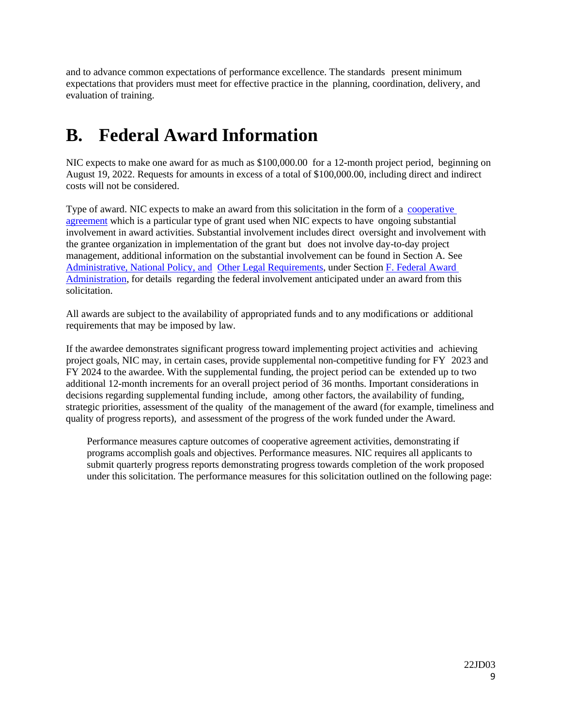and to advance common expectations of performance excellence. The standards present minimum expectations that providers must meet for effective practice in the planning, coordination, delivery, and evaluation of training.

# <span id="page-8-0"></span>**B. Federal Award Information**

NIC expects to make one award for as much as \$100,000.00 for a 12-month project period, beginning on August 19, 2022. Requests for amounts in excess of a total of \$100,000.00, including direct and indirect costs will not be considered.

Type of award. NIC expects to make an award from this solicitation in the form of a [cooperative](https://www.ecfr.gov/current/title-2/subtitle-A/chapter-II/part-200/subpart-A/subject-group-ECFR2a6a0087862fd2c/section-200.1) [agreement](https://www.ecfr.gov/current/title-2/subtitle-A/chapter-II/part-200/subpart-A/subject-group-ECFR2a6a0087862fd2c/section-200.1) which is a particular type of grant used when NIC expects to have ongoing substantial involvement in award activities. Substantial involvement includes direct oversight and involvement with the grantee organization in implementation of the grant but does not involve day-to-day project management, additional information on the substantial involvement can be found in Section A. See Administrative, [National Policy,](#page-27-0) and Other [Legal Requirements,](#page-27-0) under Section F. [Federal](#page-27-0) Award [Administration,](#page-27-0) for details regarding the federal involvement anticipated under an award from this solicitation.

All awards are subject to the availability of appropriated funds and to any modifications or additional requirements that may be imposed by law.

If the awardee demonstrates significant progress toward implementing project activities and achieving project goals, NIC may, in certain cases, provide supplemental non-competitive funding for FY 2023 and FY 2024 to the awardee. With the supplemental funding, the project period can be extended up to two additional 12-month increments for an overall project period of 36 months. Important considerations in decisions regarding supplemental funding include, among other factors, the availability of funding, strategic priorities, assessment of the quality of the management of the award (for example, timeliness and quality of progress reports), and assessment of the progress of the work funded under the Award.

Performance measures capture outcomes of cooperative agreement activities, demonstrating if programs accomplish goals and objectives. Performance measures. NIC requires all applicants to submit quarterly progress reports demonstrating progress towards completion of the work proposed under this solicitation. The performance measures for this solicitation outlined on the following page: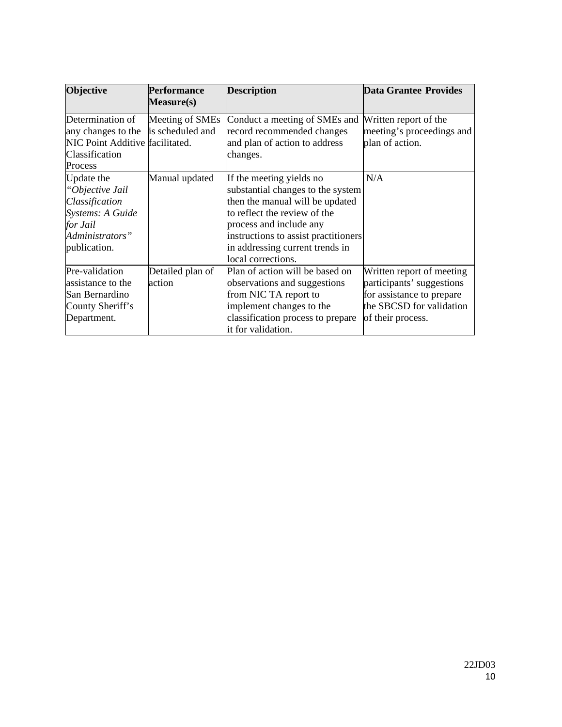| <b>Objective</b>                    | <b>Description</b><br><b>Performance</b> |                                      | <b>Data Grantee Provides</b> |  |
|-------------------------------------|------------------------------------------|--------------------------------------|------------------------------|--|
|                                     | <b>Measure(s)</b>                        |                                      |                              |  |
| Determination of                    | Meeting of SMEs                          | Conduct a meeting of SMEs and        | Written report of the        |  |
| any changes to the is scheduled and |                                          | record recommended changes           | meeting's proceedings and    |  |
| NIC Point Additive facilitated.     |                                          | and plan of action to address        | plan of action.              |  |
| Classification                      |                                          | changes.                             |                              |  |
| Process                             |                                          |                                      |                              |  |
| Update the                          | Manual updated                           | If the meeting yields no             | N/A                          |  |
| "Objective Jail                     |                                          | substantial changes to the system    |                              |  |
| Classification                      |                                          | then the manual will be updated      |                              |  |
| Systems: A Guide                    |                                          | to reflect the review of the         |                              |  |
| for Jail                            |                                          | process and include any              |                              |  |
| Administrators"                     |                                          | instructions to assist practitioners |                              |  |
| publication.                        |                                          | in addressing current trends in      |                              |  |
|                                     |                                          | local corrections.                   |                              |  |
| Pre-validation                      | Detailed plan of                         | Plan of action will be based on      | Written report of meeting    |  |
| assistance to the                   | action                                   | observations and suggestions         | participants' suggestions    |  |
| San Bernardino                      |                                          | from NIC TA report to                | for assistance to prepare    |  |
| County Sheriff's                    |                                          | implement changes to the             | the SBCSD for validation     |  |
| Department.                         |                                          | classification process to prepare    | of their process.            |  |
|                                     |                                          | it for validation.                   |                              |  |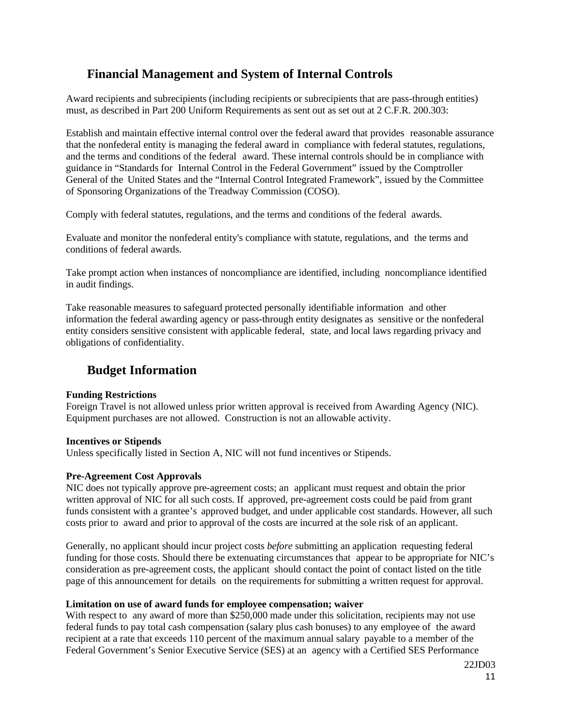# <span id="page-10-2"></span><span id="page-10-0"></span>**Financial Management and System of Internal Controls**

Award recipients and subrecipients (including recipients or subrecipients that are pass-through entities) must, as described in Part 200 Uniform Requirements as sent out as set out at 2 C.F.R. 200.303:

Establish and maintain effective internal control over the federal award that provides reasonable assurance that the nonfederal entity is managing the federal award in compliance with federal statutes, regulations, and the terms and conditions of the federal award. These internal controls should be in compliance with guidance in "Standards for Internal Control in the Federal Government" issued by the Comptroller General of the United States and the "Internal Control Integrated Framework", issued by the Committee of Sponsoring Organizations of the Treadway Commission (COSO).

Comply with federal statutes, regulations, and the terms and conditions of the federal awards.

Evaluate and monitor the nonfederal entity's compliance with statute, regulations, and the terms and conditions of federal awards.

Take prompt action when instances of noncompliance are identified, including noncompliance identified in audit findings.

Take reasonable measures to safeguard protected personally identifiable information and other information the federal awarding agency or pass-through entity designates as sensitive or the nonfederal entity considers sensitive consistent with applicable federal, state, and local laws regarding privacy and obligations of confidentiality.

# <span id="page-10-1"></span>**Budget Information**

### **Funding Restrictions**

Foreign Travel is not allowed unless prior written approval is received from Awarding Agency (NIC). Equipment purchases are not allowed. Construction is not an allowable activity.

### **Incentives or Stipends**

Unless specifically listed in Section A, NIC will not fund incentives or Stipends.

### <span id="page-10-3"></span>**Pre-Agreement Cost Approvals**

NIC does not typically approve pre-agreement costs; an applicant must request and obtain the prior written approval of NIC for all such costs. If approved, pre-agreement costs could be paid from grant funds consistent with a grantee's approved budget, and under applicable cost standards. However, all such costs prior to award and prior to approval of the costs are incurred at the sole risk of an applicant.

Generally, no applicant should incur project costs *before* submitting an application requesting federal funding for those costs. Should there be extenuating circumstances that appear to be appropriate for NIC's consideration as pre-agreement costs, the applicant should contact the point of contact listed on the title page of this announcement for details on the requirements for submitting a written request for approval.

#### <span id="page-10-4"></span>**Limitation on use of award funds for employee compensation; waiver**

With respect to any award of more than \$250,000 made under this solicitation, recipients may not use federal funds to pay total cash compensation (salary plus cash bonuses) to any employee of the award recipient at a rate that exceeds 110 percent of the maximum annual salary payable to a member of the Federal Government's Senior Executive Service (SES) at an agency with a Certified SES Performance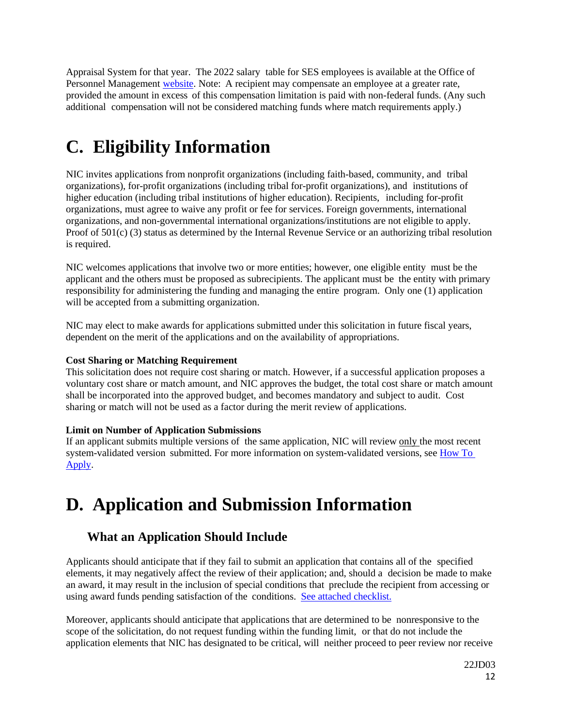Appraisal System for that year. The 2022 salary table for SES employees is available at the Office of Personnel Management [website.](https://www.opm.gov/policy-data-oversight/pay-leave/salaries-wages/#url=2021) Note: A recipient may compensate an employee at a greater rate, provided the amount in excess of this compensation limitation is paid with non-federal funds. (Any such additional compensation will not be considered matching funds where match requirements apply.)

# <span id="page-11-0"></span>**C. Eligibility Information**

NIC invites applications from nonprofit organizations (including faith-based, community, and tribal organizations), for-profit organizations (including tribal for-profit organizations), and institutions of higher education (including tribal institutions of higher education). Recipients, including for-profit organizations, must agree to waive any profit or fee for services. Foreign governments, international organizations, and non-governmental international organizations/institutions are not eligible to apply. Proof of 501(c) (3) status as determined by the Internal Revenue Service or an authorizing tribal resolution is required.

NIC welcomes applications that involve two or more entities; however, one eligible entity must be the applicant and the others must be proposed as subrecipients. The applicant must be the entity with primary responsibility for administering the funding and managing the entire program. Only one (1) application will be accepted from a submitting organization.

NIC may elect to make awards for applications submitted under this solicitation in future fiscal years, dependent on the merit of the applications and on the availability of appropriations.

# <span id="page-11-2"></span>**Cost Sharing or Matching Requirement**

This solicitation does not require cost sharing or match. However, if a successful application proposes a voluntary cost share or match amount, and NIC approves the budget, the total cost share or match amount shall be incorporated into the approved budget, and becomes mandatory and subject to audit. Cost sharing or match will not be used as a factor during the merit review of applications.

# <span id="page-11-3"></span>**Limit on Number of Application Submissions**

If an applicant submits multiple versions of the same application, NIC will review only the most recent system-validated version submitted. For more information on system-validated versions, see [How](#page-21-0) To [Apply.](#page-21-0)

# <span id="page-11-1"></span>**D. Application and Submission Information**

# <span id="page-11-4"></span>**What an Application Should Include**

Applicants should anticipate that if they fail to submit an application that contains all of the specified elements, it may negatively affect the review of their application; and, should a decision be made to make an award, it may result in the inclusion of special conditions that preclude the recipient from accessing or using award funds pending satisfaction of the conditions. [See attached checklist.](#page-32-0)

Moreover, applicants should anticipate that applications that are determined to be nonresponsive to the scope of the solicitation, do not request funding within the funding limit, or that do not include the application elements that NIC has designated to be critical, will neither proceed to peer review nor receive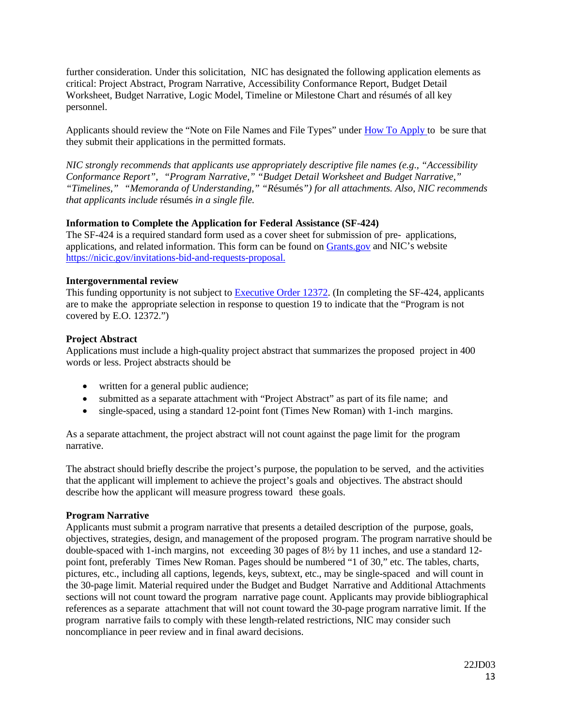further consideration. Under this solicitation, NIC has designated the following application elements as critical: Project Abstract, Program Narrative, Accessibility Conformance Report, Budget Detail Worksheet, Budget Narrative, Logic Model, Timeline or Milestone Chart and résumés of all key personnel.

Applicants should review the "Note on File Names and File Types" under How [To Apply t](#page-21-0)o be sure that they submit their applications in the permitted formats.

*NIC strongly recommends that applicants use appropriately descriptive file names (e.g*.*, "Accessibility Conformance Report", "Program Narrative," "Budget Detail Worksheet and Budget Narrative," "Timelines," "Memoranda of Understanding," "R*ésumés*") for all attachments. Also, NIC recommends that applicants include* résumés *in a single file.*

### <span id="page-12-0"></span>**Information to Complete the Application for Federal Assistance (SF-424)**

The SF-424 is a required standard form used as a cover sheet for submission of pre- applications, applications, and related information. This form can be found on [Grants.gov](https://www.grants.gov/web/grants/forms/sf-424-family.html) and NIC's website [https://nicic.gov/invitations-bid-and-requests-proposal.](https://nicic.gov/invitations-bid-and-requests-proposal)

## <span id="page-12-1"></span>**Intergovernmental review**

This funding opportunity is not subject to [Executive](http://www.archives.gov/federal-register/codification/executive-order/12372.html) Order 12372. (In completing the SF-424, applicants are to make the appropriate selection in response to question 19 to indicate that the "Program is not covered by E.O. 12372.")

## <span id="page-12-2"></span>**Project Abstract**

Applications must include a high-quality project abstract that summarizes the proposed project in 400 words or less. Project abstracts should be

- written for a general public audience;
- submitted as a separate attachment with "Project Abstract" as part of its file name; and
- single-spaced, using a standard 12-point font (Times New Roman) with 1-inch margins.

As a separate attachment, the project abstract will not count against the page limit for the program narrative.

The abstract should briefly describe the project's purpose, the population to be served, and the activities that the applicant will implement to achieve the project's goals and objectives. The abstract should describe how the applicant will measure progress toward these goals.

### <span id="page-12-3"></span>**Program Narrative**

Applicants must submit a program narrative that presents a detailed description of the purpose, goals, objectives, strategies, design, and management of the proposed program. The program narrative should be double-spaced with 1-inch margins, not exceeding 30 pages of 8½ by 11 inches, and use a standard 12 point font, preferably Times New Roman. Pages should be numbered "1 of 30," etc. The tables, charts, pictures, etc., including all captions, legends, keys, subtext, etc., may be single-spaced and will count in the 30-page limit. Material required under the Budget and Budget Narrative and Additional Attachments sections will not count toward the program narrative page count. Applicants may provide bibliographical references as a separate attachment that will not count toward the 30-page program narrative limit. If the program narrative fails to comply with these length-related restrictions, NIC may consider such noncompliance in peer review and in final award decisions.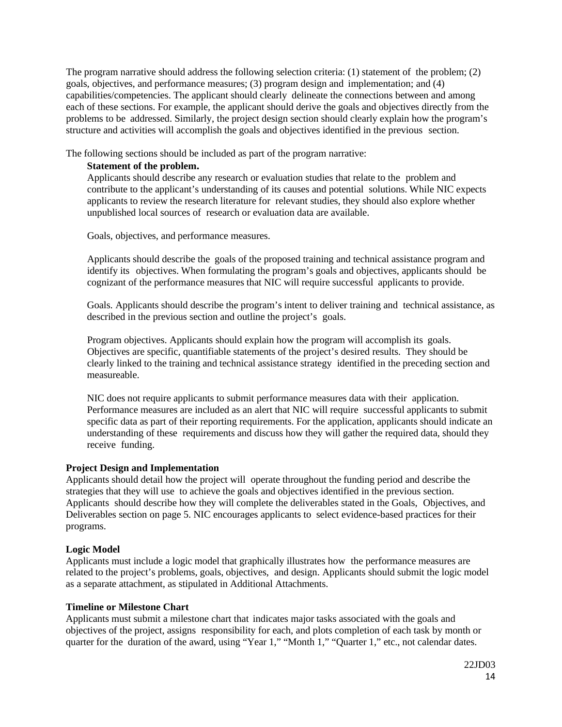The program narrative should address the following selection criteria: (1) statement of the problem; (2) goals, objectives, and performance measures; (3) program design and implementation; and (4) capabilities/competencies. The applicant should clearly delineate the connections between and among each of these sections. For example, the applicant should derive the goals and objectives directly from the problems to be addressed. Similarly, the project design section should clearly explain how the program's structure and activities will accomplish the goals and objectives identified in the previous section.

The following sections should be included as part of the program narrative:

# <span id="page-13-0"></span>**Statement of the problem.**

Applicants should describe any research or evaluation studies that relate to the problem and contribute to the applicant's understanding of its causes and potential solutions. While NIC expects applicants to review the research literature for relevant studies, they should also explore whether unpublished local sources of research or evaluation data are available.

Goals, objectives, and performance measures.

Applicants should describe the goals of the proposed training and technical assistance program and identify its objectives. When formulating the program's goals and objectives, applicants should be cognizant of the performance measures that NIC will require successful applicants to provide.

Goals. Applicants should describe the program's intent to deliver training and technical assistance, as described in the previous section and outline the project's goals.

Program objectives. Applicants should explain how the program will accomplish its goals. Objectives are specific, quantifiable statements of the project's desired results. They should be clearly linked to the training and technical assistance strategy identified in the preceding section and measureable.

NIC does not require applicants to submit performance measures data with their application. Performance measures are included as an alert that NIC will require successful applicants to submit specific data as part of their reporting requirements. For the application, applicants should indicate an understanding of these requirements and discuss how they will gather the required data, should they receive funding.

# <span id="page-13-1"></span>**Project Design and Implementation**

Applicants should detail how the project will operate throughout the funding period and describe the strategies that they will use to achieve the goals and objectives identified in the previous section. Applicants should describe how they will complete the deliverables stated in the Goals, Objectives, and Deliverables section on page 5. NIC encourages applicants to select evidence-based practices for their programs.

# <span id="page-13-2"></span>**Logic Model**

Applicants must include a logic model that graphically illustrates how the performance measures are related to the project's problems, goals, objectives, and design. Applicants should submit the logic model as a separate attachment, as stipulated in Additional Attachments.

# <span id="page-13-3"></span>**Timeline or Milestone Chart**

Applicants must submit a milestone chart that indicates major tasks associated with the goals and objectives of the project, assigns responsibility for each, and plots completion of each task by month or quarter for the duration of the award, using "Year 1," "Month 1," "Quarter 1," etc., not calendar dates.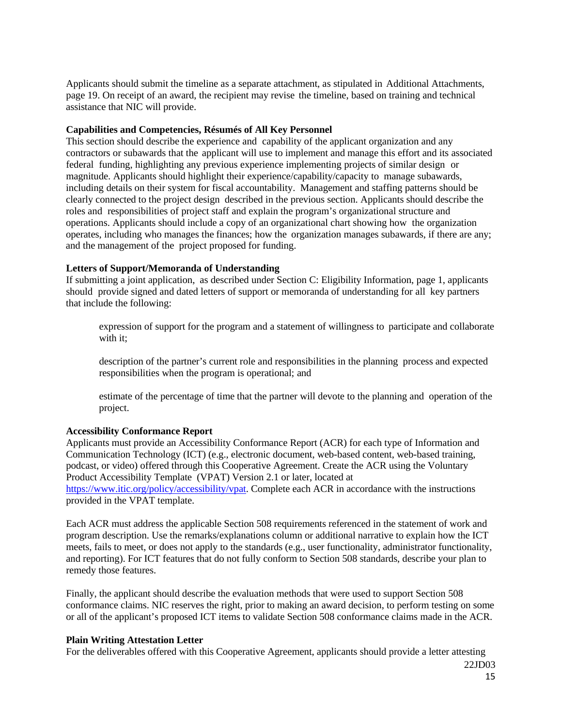Applicants should submit the timeline as a separate attachment, as stipulated in Additional Attachments, page 19. On receipt of an award, the recipient may revise the timeline, based on training and technical assistance that NIC will provide.

#### <span id="page-14-0"></span>**Capabilities and Competencies, Résumés of All Key Personnel**

This section should describe the experience and capability of the applicant organization and any contractors or subawards that the applicant will use to implement and manage this effort and its associated federal funding, highlighting any previous experience implementing projects of similar design or magnitude. Applicants should highlight their experience/capability/capacity to manage subawards, including details on their system for fiscal accountability. Management and staffing patterns should be clearly connected to the project design described in the previous section. Applicants should describe the roles and responsibilities of project staff and explain the program's organizational structure and operations. Applicants should include a copy of an organizational chart showing how the organization operates, including who manages the finances; how the organization manages subawards, if there are any; and the management of the project proposed for funding.

#### <span id="page-14-1"></span>**Letters of Support/Memoranda of Understanding**

If submitting a joint application, as described under Section C: Eligibility Information, page 1, applicants should provide signed and dated letters of support or memoranda of understanding for all key partners that include the following:

expression of support for the program and a statement of willingness to participate and collaborate with it:

description of the partner's current role and responsibilities in the planning process and expected responsibilities when the program is operational; and

estimate of the percentage of time that the partner will devote to the planning and operation of the project.

### **Accessibility Conformance Report**

Applicants must provide an Accessibility Conformance Report (ACR) for each type of Information and Communication Technology (ICT) (e.g., electronic document, web-based content, web-based training, podcast, or video) offered through this Cooperative Agreement. Create the ACR using the Voluntary Product Accessibility Template (VPAT) Version 2.1 or later, located at [https://www.itic.org/policy/accessibility/vpat.](https://www.itic.org/policy/accessibility/vpat) Complete each ACR in accordance with the instructions provided in the VPAT template.

Each ACR must address the applicable Section 508 requirements referenced in the statement of work and program description. Use the remarks/explanations column or additional narrative to explain how the ICT meets, fails to meet, or does not apply to the standards (e.g., user functionality, administrator functionality, and reporting). For ICT features that do not fully conform to Section 508 standards, describe your plan to remedy those features.

Finally, the applicant should describe the evaluation methods that were used to support Section 508 conformance claims. NIC reserves the right, prior to making an award decision, to perform testing on some or all of the applicant's proposed ICT items to validate Section 508 conformance claims made in the ACR.

#### **Plain Writing Attestation Letter**

For the deliverables offered with this Cooperative Agreement, applicants should provide a letter attesting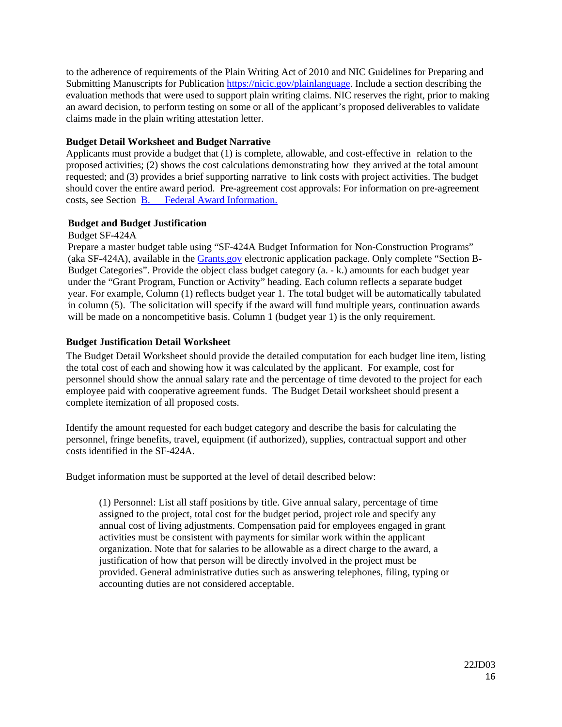<span id="page-15-1"></span>to the adherence of requirements of the Plain Writing Act of 2010 and NIC Guidelines for Preparing and Submitting Manuscripts for Publication [https://nicic.gov/plainlanguage.](https://nicic.gov/plainlanguage) Include a section describing the evaluation methods that were used to support plain writing claims. NIC reserves the right, prior to making an award decision, to perform testing on some or all of the applicant's proposed deliverables to validate claims made in the plain writing attestation letter.

## <span id="page-15-0"></span>**Budget Detail Worksheet and Budget Narrative**

Applicants must provide a budget that (1) is complete, allowable, and cost-effective in relation to the proposed activities; (2) shows the cost calculations demonstrating how they arrived at the total amount requested; and (3) provides a brief supporting narrative to link costs with project activities. The budget should cover the entire award period. Pre-agreement cost approvals: For information on pre-agreement costs, see Section [B. Federal Award Information.](#page-8-0)

## **Budget and Budget Justification**

Budget SF-424A

Prepare a master budget table using "SF-424A Budget Information for Non-Construction Programs" (aka SF-424A), available in the [Grants.gov](https://www.grants.gov/) electronic application package. Only complete "Section B-Budget Categories". Provide the object class budget category (a. - k.) amounts for each budget year under the "Grant Program, Function or Activity" heading. Each column reflects a separate budget year. For example, Column (1) reflects budget year 1. The total budget will be automatically tabulated in column (5). The solicitation will specify if the award will fund multiple years, continuation awards will be made on a noncompetitive basis. Column 1 (budget year 1) is the only requirement.

## **Budget Justification Detail Worksheet**

The Budget Detail Worksheet should provide the detailed computation for each budget line item, listing the total cost of each and showing how it was calculated by the applicant. For example, cost for personnel should show the annual salary rate and the percentage of time devoted to the project for each employee paid with cooperative agreement funds. The Budget Detail worksheet should present a complete itemization of all proposed costs.

Identify the amount requested for each budget category and describe the basis for calculating the personnel, fringe benefits, travel, equipment (if authorized), supplies, contractual support and other costs identified in the SF-424A.

Budget information must be supported at the level of detail described below:

(1) Personnel: List all staff positions by title. Give annual salary, percentage of time assigned to the project, total cost for the budget period, project role and specify any annual cost of living adjustments. Compensation paid for employees engaged in grant activities must be consistent with payments for similar work within the applicant organization. Note that for salaries to be allowable as a direct charge to the award, a justification of how that person will be directly involved in the project must be provided. General administrative duties such as answering telephones, filing, typing or accounting duties are not considered acceptable.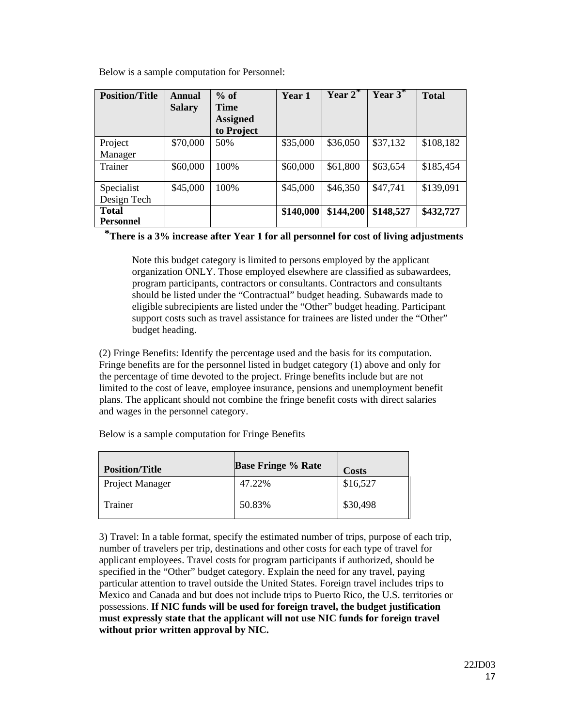Below is a sample computation for Personnel:

| <b>Position/Title</b> | Annual        | $%$ of                         | Year 1    | $Year 2^*$ | Year $3^*$ | <b>Total</b> |
|-----------------------|---------------|--------------------------------|-----------|------------|------------|--------------|
|                       | <b>Salary</b> | <b>Time</b><br><b>Assigned</b> |           |            |            |              |
|                       |               | to Project                     |           |            |            |              |
| Project               | \$70,000      | 50%                            | \$35,000  | \$36,050   | \$37,132   | \$108,182    |
| Manager               |               |                                |           |            |            |              |
| Trainer               | \$60,000      | 100%                           | \$60,000  | \$61,800   | \$63,654   | \$185,454    |
| Specialist            | \$45,000      | 100%                           | \$45,000  | \$46,350   | \$47,741   | \$139,091    |
| Design Tech           |               |                                |           |            |            |              |
| <b>Total</b>          |               |                                | \$140,000 | \$144,200  | \$148,527  | \$432,727    |
| <b>Personnel</b>      |               |                                |           |            |            |              |

**\*There is a 3% increase after Year 1 for all personnel for cost of living adjustments**

Note this budget category is limited to persons employed by the applicant organization ONLY. Those employed elsewhere are classified as subawardees, program participants, contractors or consultants. Contractors and consultants should be listed under the "Contractual" budget heading. Subawards made to eligible subrecipients are listed under the "Other" budget heading. Participant support costs such as travel assistance for trainees are listed under the "Other" budget heading.

(2) Fringe Benefits: Identify the percentage used and the basis for its computation. Fringe benefits are for the personnel listed in budget category (1) above and only for the percentage of time devoted to the project. Fringe benefits include but are not limited to the cost of leave, employee insurance, pensions and unemployment benefit plans. The applicant should not combine the fringe benefit costs with direct salaries and wages in the personnel category.

| <b>Position/Title</b> | <b>Base Fringe % Rate</b> | <b>Costs</b> |
|-----------------------|---------------------------|--------------|
| Project Manager       | 47.22%                    | \$16,527     |
| Trainer               | 50.83%                    | \$30,498     |

Below is a sample computation for Fringe Benefits

3) Travel: In a table format, specify the estimated number of trips, purpose of each trip, number of travelers per trip, destinations and other costs for each type of travel for applicant employees. Travel costs for program participants if authorized, should be specified in the "Other" budget category. Explain the need for any travel, paying particular attention to travel outside the United States. Foreign travel includes trips to Mexico and Canada and but does not include trips to Puerto Rico, the U.S. territories or possessions. **If NIC funds will be used for foreign travel, the budget justification must expressly state that the applicant will not use NIC funds for foreign travel without prior written approval by NIC.**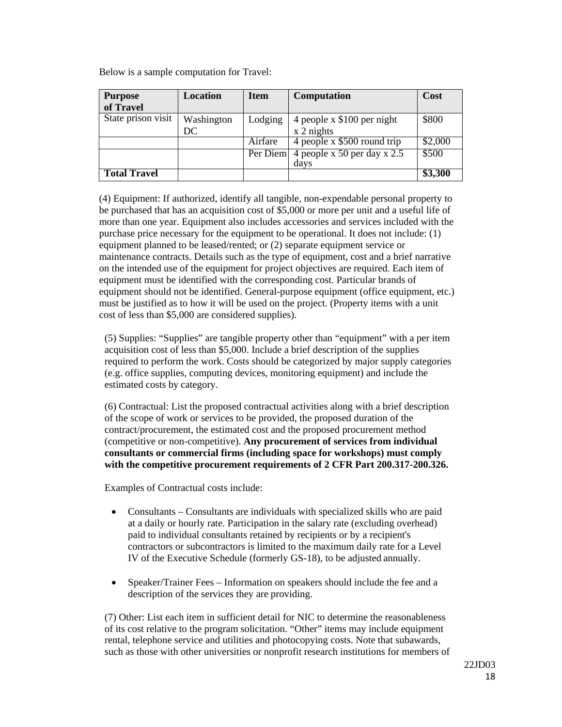Below is a sample computation for Travel:

| <b>Purpose</b>      | Location   | <b>Item</b> | <b>Computation</b>                     | Cost    |
|---------------------|------------|-------------|----------------------------------------|---------|
| of Travel           |            |             |                                        |         |
| State prison visit  | Washington | Lodging     | 4 people x \$100 per night             | \$800   |
|                     | DC         |             | $x 2$ nights                           |         |
|                     |            | Airfare     | 4 people x \$500 round trip            | \$2,000 |
|                     |            |             | Per Diem 4 people x 50 per day x $2.5$ | \$500   |
|                     |            |             | days                                   |         |
| <b>Total Travel</b> |            |             |                                        | \$3,300 |

(4) Equipment: If authorized, identify all tangible, non-expendable personal property to be purchased that has an acquisition cost of \$5,000 or more per unit and a useful life of more than one year. Equipment also includes accessories and services included with the purchase price necessary for the equipment to be operational. It does not include: (1) equipment planned to be leased/rented; or (2) separate equipment service or maintenance contracts. Details such as the type of equipment, cost and a brief narrative on the intended use of the equipment for project objectives are required. Each item of equipment must be identified with the corresponding cost. Particular brands of equipment should not be identified. General-purpose equipment (office equipment, etc.) must be justified as to how it will be used on the project. (Property items with a unit cost of less than \$5,000 are considered supplies).

(5) Supplies: "Supplies" are tangible property other than "equipment" with a per item acquisition cost of less than \$5,000. Include a brief description of the supplies required to perform the work. Costs should be categorized by major supply categories (e.g. office supplies, computing devices, monitoring equipment) and include the estimated costs by category.

(6) Contractual: List the proposed contractual activities along with a brief description of the scope of work or services to be provided, the proposed duration of the contract/procurement, the estimated cost and the proposed procurement method (competitive or non-competitive). **Any procurement of services from individual consultants or commercial firms (including space for workshops) must comply with the competitive procurement requirements of 2 CFR Part 200.317-200.326.** 

Examples of Contractual costs include:

- Consultants Consultants are individuals with specialized skills who are paid at a daily or hourly rate. Participation in the salary rate (excluding overhead) paid to individual consultants retained by recipients or by a recipient's contractors or subcontractors is limited to the maximum daily rate for a Level IV of the Executive Schedule (formerly GS-18), to be adjusted annually.
- Speaker/Trainer Fees Information on speakers should include the fee and a description of the services they are providing.

(7) Other: List each item in sufficient detail for NIC to determine the reasonableness of its cost relative to the program solicitation. "Other" items may include equipment rental, telephone service and utilities and photocopying costs. Note that subawards, such as those with other universities or nonprofit research institutions for members of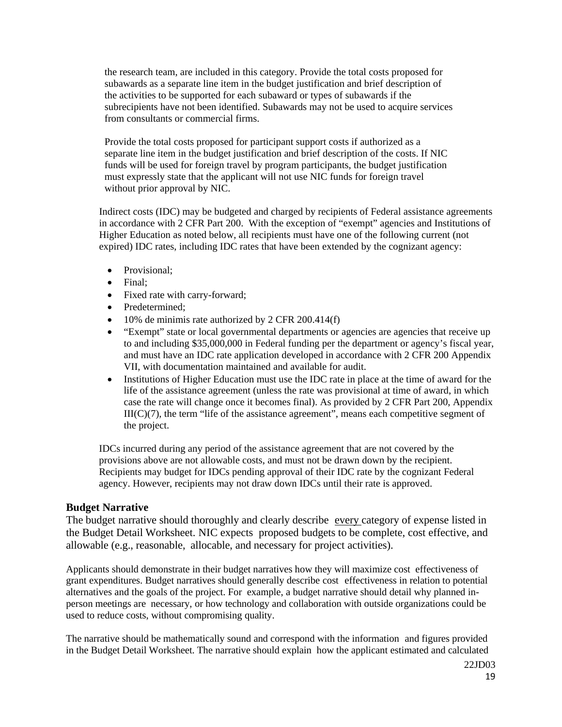the research team, are included in this category. Provide the total costs proposed for subawards as a separate line item in the budget justification and brief description of the activities to be supported for each subaward or types of subawards if the subrecipients have not been identified. Subawards may not be used to acquire services from consultants or commercial firms.

Provide the total costs proposed for participant support costs if authorized as a separate line item in the budget justification and brief description of the costs. If NIC funds will be used for foreign travel by program participants, the budget justification must expressly state that the applicant will not use NIC funds for foreign travel without prior approval by NIC.

Indirect costs (IDC) may be budgeted and charged by recipients of Federal assistance agreements in accordance with 2 CFR Part 200. With the exception of "exempt" agencies and Institutions of Higher Education as noted below, all recipients must have one of the following current (not expired) IDC rates, including IDC rates that have been extended by the cognizant agency:

- Provisional:
- Final;
- Fixed rate with carry-forward;
- Predetermined:
- 10% de minimis rate authorized by 2 CFR 200.414(f)
- "Exempt" state or local governmental departments or agencies are agencies that receive up to and including \$35,000,000 in Federal funding per the department or agency's fiscal year, and must have an IDC rate application developed in accordance with 2 CFR 200 Appendix VII, with documentation maintained and available for audit.
- Institutions of Higher Education must use the IDC rate in place at the time of award for the life of the assistance agreement (unless the rate was provisional at time of award, in which case the rate will change once it becomes final). As provided by 2 CFR Part 200, Appendix  $III(C)(7)$ , the term "life of the assistance agreement", means each competitive segment of the project.

IDCs incurred during any period of the assistance agreement that are not covered by the provisions above are not allowable costs, and must not be drawn down by the recipient. Recipients may budget for IDCs pending approval of their IDC rate by the cognizant Federal agency. However, recipients may not draw down IDCs until their rate is approved.

# <span id="page-18-0"></span>**Budget Narrative**

The budget narrative should thoroughly and clearly describe every category of expense listed in the Budget Detail Worksheet. NIC expects proposed budgets to be complete, cost effective, and allowable (e.g., reasonable, allocable, and necessary for project activities).

Applicants should demonstrate in their budget narratives how they will maximize cost effectiveness of grant expenditures. Budget narratives should generally describe cost effectiveness in relation to potential alternatives and the goals of the project. For example, a budget narrative should detail why planned inperson meetings are necessary, or how technology and collaboration with outside organizations could be used to reduce costs, without compromising quality.

The narrative should be mathematically sound and correspond with the information and figures provided in the Budget Detail Worksheet. The narrative should explain how the applicant estimated and calculated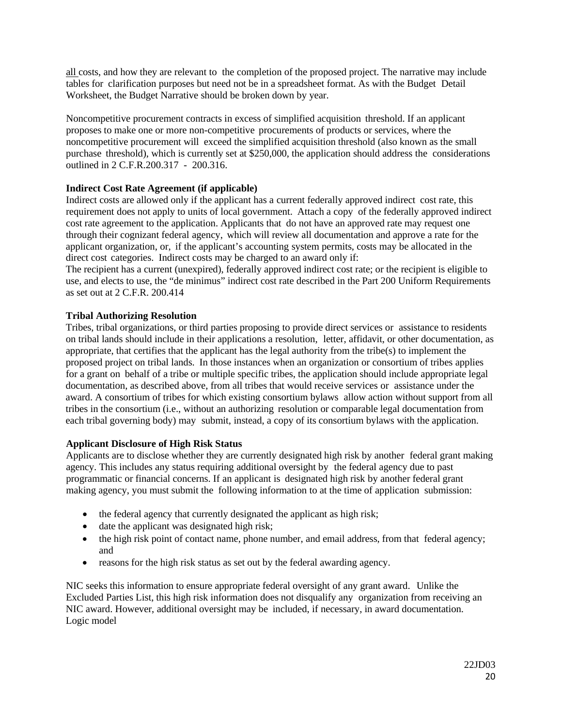all costs, and how they are relevant to the completion of the proposed project. The narrative may include tables for clarification purposes but need not be in a spreadsheet format. As with the Budget Detail Worksheet, the Budget Narrative should be broken down by year.

Noncompetitive procurement contracts in excess of simplified acquisition threshold. If an applicant proposes to make one or more non-competitive procurements of products or services, where the noncompetitive procurement will exceed the simplified acquisition threshold (also known as the small purchase threshold), which is currently set at \$250,000, the application should address the considerations outlined in 2 C.F.R.200.317 - 200.316.

# <span id="page-19-0"></span>**Indirect Cost Rate Agreement (if applicable)**

Indirect costs are allowed only if the applicant has a current federally approved indirect cost rate, this requirement does not apply to units of local government. Attach a copy of the federally approved indirect cost rate agreement to the application. Applicants that do not have an approved rate may request one through their cognizant federal agency, which will review all documentation and approve a rate for the applicant organization, or, if the applicant's accounting system permits, costs may be allocated in the direct cost categories. Indirect costs may be charged to an award only if:

The recipient has a current (unexpired), federally approved indirect cost rate; or the recipient is eligible to use, and elects to use, the "de minimus" indirect cost rate described in the Part 200 Uniform Requirements as set out at 2 C.F.R. 200.414

## <span id="page-19-1"></span>**Tribal Authorizing Resolution**

Tribes, tribal organizations, or third parties proposing to provide direct services or assistance to residents on tribal lands should include in their applications a resolution, letter, affidavit, or other documentation, as appropriate, that certifies that the applicant has the legal authority from the tribe(s) to implement the proposed project on tribal lands. In those instances when an organization or consortium of tribes applies for a grant on behalf of a tribe or multiple specific tribes, the application should include appropriate legal documentation, as described above, from all tribes that would receive services or assistance under the award. A consortium of tribes for which existing consortium bylaws allow action without support from all tribes in the consortium (i.e., without an authorizing resolution or comparable legal documentation from each tribal governing body) may submit, instead, a copy of its consortium bylaws with the application.

## <span id="page-19-2"></span>**Applicant Disclosure of High Risk Status**

Applicants are to disclose whether they are currently designated high risk by another federal grant making agency. This includes any status requiring additional oversight by the federal agency due to past programmatic or financial concerns. If an applicant is designated high risk by another federal grant making agency, you must submit the following information to at the time of application submission:

- the federal agency that currently designated the applicant as high risk;
- date the applicant was designated high risk;
- the high risk point of contact name, phone number, and email address, from that federal agency; and
- reasons for the high risk status as set out by the federal awarding agency.

NIC seeks this information to ensure appropriate federal oversight of any grant award. Unlike the Excluded Parties List, this high risk information does not disqualify any organization from receiving an NIC award. However, additional oversight may be included, if necessary, in award documentation. Logic model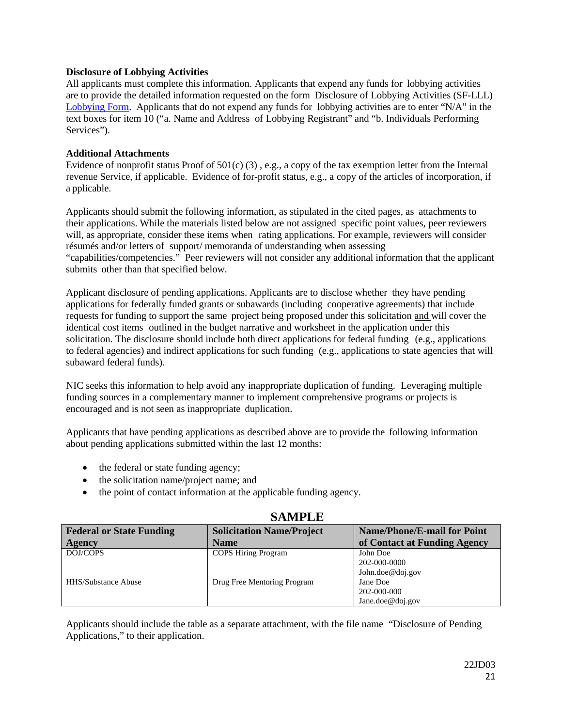## <span id="page-20-0"></span>**Disclosure of Lobbying Activities**

All applicants must complete this information. Applicants that expend any funds for lobbying activities are to provide the detailed information requested on the form Disclosure of Lobbying Activities (SF-LLL) [Lobbying Form.](https://www.grants.gov/documents/19/217976/SFLLL_2_0-V2.0.pdf/ad05c401-3c9c-47d0-afec-7ee26491c878?version=1.0&t=1516738837999) Applicants that do not expend any funds for lobbying activities are to enter "N/A" in the text boxes for item 10 ("a. Name and Address of Lobbying Registrant" and "b. Individuals Performing Services").

## <span id="page-20-1"></span>**Additional Attachments**

Evidence of nonprofit status Proof of  $501(c)$  (3), e.g., a copy of the tax exemption letter from the Internal revenue Service, if applicable. Evidence of for-profit status, e.g., a copy of the articles of incorporation, if a pplicable.

Applicants should submit the following information, as stipulated in the cited pages, as attachments to their applications. While the materials listed below are not assigned specific point values, peer reviewers will, as appropriate, consider these items when rating applications. For example, reviewers will consider résumés and/or letters of support/ memoranda of understanding when assessing "capabilities/competencies." Peer reviewers will not consider any additional information that the applicant submits other than that specified below.

Applicant disclosure of pending applications. Applicants are to disclose whether they have pending applications for federally funded grants or subawards (including cooperative agreements) that include requests for funding to support the same project being proposed under this solicitation and will cover the identical cost items outlined in the budget narrative and worksheet in the application under this solicitation. The disclosure should include both direct applications for federal funding (e.g., applications to federal agencies) and indirect applications for such funding (e.g., applications to state agencies that will subaward federal funds).

NIC seeks this information to help avoid any inappropriate duplication of funding. Leveraging multiple funding sources in a complementary manner to implement comprehensive programs or projects is encouraged and is not seen as inappropriate duplication.

Applicants that have pending applications as described above are to provide the following information about pending applications submitted within the last 12 months:

- the federal or state funding agency;
- the solicitation name/project name; and
- the point of contact information at the applicable funding agency.

| <b>Federal or State Funding</b> | <b>Solicitation Name/Project</b> | <b>Name/Phone/E-mail for Point</b> |  |  |
|---------------------------------|----------------------------------|------------------------------------|--|--|
| <b>Agency</b>                   | <b>Name</b>                      | of Contact at Funding Agency       |  |  |
| DOJ/COPS                        | <b>COPS Hiring Program</b>       | John Doe                           |  |  |
|                                 |                                  | 202-000-0000                       |  |  |
|                                 |                                  | John.doe@doj.gov                   |  |  |
| <b>HHS/Substance Abuse</b>      | Drug Free Mentoring Program      | Jane Doe                           |  |  |
|                                 |                                  | 202-000-000                        |  |  |
|                                 |                                  | Jane.doe@doj.gov                   |  |  |

# **SAMPLE**

Applicants should include the table as a separate attachment, with the file name "Disclosure of Pending Applications," to their application.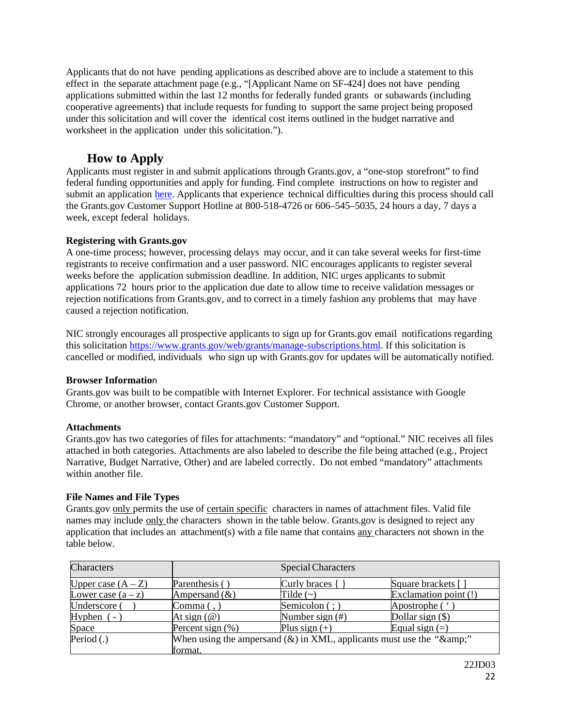Applicants that do not have pending applications as described above are to include a statement to this effect in the separate attachment page (e.g., "[Applicant Name on SF-424] does not have pending applications submitted within the last 12 months for federally funded grants or subawards (including cooperative agreements) that include requests for funding to support the same project being proposed under this solicitation and will cover the identical cost items outlined in the budget narrative and worksheet in the application under this solicitation.").

# **How to Apply**

<span id="page-21-0"></span>Applicants must register in and submit applications through Grants.gov, a "one-stop storefront" to find federal funding opportunities and apply for funding. Find complete instructions on how to register and submit an application [here.](https://www.grants.gov/web/grants/applicants/apply-for-grants.html) Applicants that experience technical difficulties during this process should call the Grants.gov Customer Support Hotline at 800-518-4726 or 606–545–5035, 24 hours a day, 7 days a week, except federal holidays.

# <span id="page-21-1"></span>**Registering with Grants.gov**

A one-time process; however, processing delays may occur, and it can take several weeks for first-time registrants to receive confirmation and a user password. NIC encourages applicants to register several weeks before the application submission deadline. In addition, NIC urges applicants to submit applications 72 hours prior to the application due date to allow time to receive validation messages or rejection notifications from Grants.gov, and to correct in a timely fashion any problems that may have caused a rejection notification.

NIC strongly encourages all prospective applicants to sign up for Grants.gov email notifications regarding this solicitation [https://www.grants.gov/web/grants/manage-subscriptions.html.](https://www.grants.gov/web/grants/manage-subscriptions.html) If this solicitation is cancelled or modified, individuals who sign up with Grants.gov for updates will be automatically notified.

# <span id="page-21-2"></span>**Browser Informatio**n

Grants.gov was built to be compatible with Internet Explorer. For technical assistance with Google Chrome, or another browser, contact Grants.gov Customer Support.

# <span id="page-21-3"></span>**Attachments**

Grants.gov has two categories of files for attachments: "mandatory" and "optional." NIC receives all files attached in both categories. Attachments are also labeled to describe the file being attached (e.g., Project Narrative, Budget Narrative, Other) and are labeled correctly. Do not embed "mandatory" attachments within another file.

# <span id="page-21-4"></span>**File Names and File Types**

Grants.gov only permits the use of certain specific characters in names of attachment files. Valid file names may include only the characters shown in the table below. Grants.gov is designed to reject any application that includes an attachment(s) with a file name that contains any characters not shown in the table below.

| Characters           | <b>Special Characters</b>                                                    |                     |                       |  |
|----------------------|------------------------------------------------------------------------------|---------------------|-----------------------|--|
| Upper case $(A - Z)$ | Parenthesis ()                                                               | Curly braces {      | Square brackets []    |  |
| Lower case $(a - z)$ | Ampersand $(\&)$                                                             | Tilde $(\sim)$      | Exclamation point (!) |  |
| Underscore (         | $\text{Comma}($ ,                                                            | Semicolon $($ ; $)$ | Apostrophe (')        |  |
| Hyphen $(-)$         | At sign $(\omega)$                                                           | Number sign $(\#)$  | Dollar sign $(\$)$    |  |
| Space                | Percent sign $(\% )$                                                         | Plus sign $(+)$     | Equal sign $(=)$      |  |
| Period $(.)$         | When using the ampersand $(\&)$ in XML, applicants must use the " $\&$ amp;" |                     |                       |  |
|                      | format.                                                                      |                     |                       |  |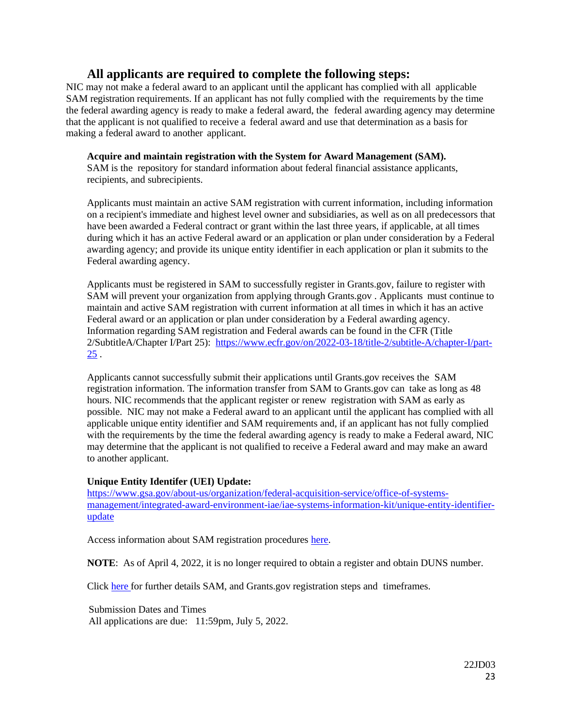# <span id="page-22-0"></span>**All applicants are required to complete the following steps:**

<span id="page-22-1"></span>NIC may not make a federal award to an applicant until the applicant has complied with all applicable SAM registration requirements. If an applicant has not fully complied with the requirements by the time the federal awarding agency is ready to make a federal award, the federal awarding agency may determine that the applicant is not qualified to receive a federal award and use that determination as a basis for making a federal award to another applicant.

# <span id="page-22-2"></span>**Acquire and maintain registration with the System for Award Management (SAM).**

SAM is the repository for standard information about federal financial assistance applicants, recipients, and subrecipients.

Applicants must maintain an active SAM registration with current information, including information on a recipient's immediate and highest level owner and subsidiaries, as well as on all predecessors that have been awarded a Federal contract or grant within the last three years, if applicable, at all times during which it has an active Federal award or an application or plan under consideration by a Federal awarding agency; and provide its unique entity identifier in each application or plan it submits to the Federal awarding agency.

Applicants must be registered in SAM to successfully register in Grants.gov, failure to register with SAM will prevent your organization from applying through Grants.gov . Applicants must continue to maintain and active SAM registration with current information at all times in which it has an active Federal award or an application or plan under consideration by a Federal awarding agency. Information regarding SAM registration and Federal awards can be found in the CFR (Title 2/SubtitleA/Chapter I/Part 25): [https://www.ecfr.gov/on/2022-03-18/title-2/subtitle-A/chapter-I/part-](https://www.ecfr.gov/on/2022-03-18/title-2/subtitle-A/chapter-I/part-25)[25](https://www.ecfr.gov/on/2022-03-18/title-2/subtitle-A/chapter-I/part-25) .

Applicants cannot successfully submit their applications until Grants.gov receives the SAM registration information. The information transfer from SAM to Grants.gov can take as long as 48 hours. NIC recommends that the applicant register or renew registration with SAM as early as possible. NIC may not make a Federal award to an applicant until the applicant has complied with all applicable unique entity identifier and SAM requirements and, if an applicant has not fully complied with the requirements by the time the federal awarding agency is ready to make a Federal award, NIC may determine that the applicant is not qualified to receive a Federal award and may make an award to another applicant.

# **Unique Entity Identifer (UEI) Update:**

[https://www.gsa.gov/about-us/organization/federal-acquisition-service/office-of-systems](https://www.gsa.gov/about-us/organization/federal-acquisition-service/office-of-systems-management/integrated-award-environment-iae/iae-systems-information-kit/unique-entity-identifier-update)[management/integrated-award-environment-iae/iae-systems-information-kit/unique-entity-identifier](https://www.gsa.gov/about-us/organization/federal-acquisition-service/office-of-systems-management/integrated-award-environment-iae/iae-systems-information-kit/unique-entity-identifier-update)[update](https://www.gsa.gov/about-us/organization/federal-acquisition-service/office-of-systems-management/integrated-award-environment-iae/iae-systems-information-kit/unique-entity-identifier-update)

Access information about SAM registration procedures [here.](https://sam.gov/content/home)

**NOTE**: As of April 4, 2022, it is no longer required to obtain a register and obtain DUNS number.

Click [here](http://www.grants.gov/web/grants/applicants/organization-registration.html) for further details SAM, and Grants.gov registration steps and timeframes.

 Submission Dates and Times All applications are due: 11:59pm, July 5, 2022.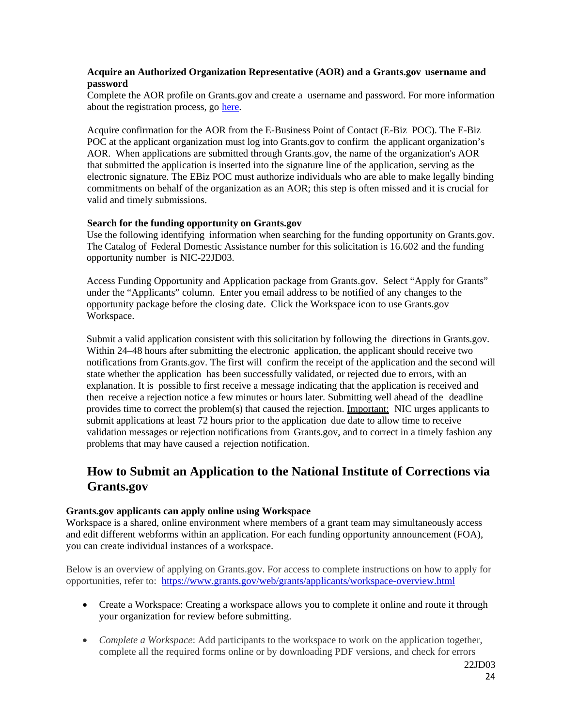## <span id="page-23-0"></span>**Acquire an Authorized Organization Representative (AOR) and a Grants.gov username and password**

Complete the AOR profile on Grants.gov and create a username and password. For more information about the registration process, go [here.](http://www.grants.gov/web/grants/register.html)

Acquire confirmation for the AOR from the E-Business Point of Contact (E-Biz POC). The E-Biz POC at the applicant organization must log into Grants.gov to confirm the applicant organization's AOR. When applications are submitted through Grants.gov, the name of the organization's AOR that submitted the application is inserted into the signature line of the application, serving as the electronic signature. The EBiz POC must authorize individuals who are able to make legally binding commitments on behalf of the organization as an AOR; this step is often missed and it is crucial for valid and timely submissions.

### <span id="page-23-1"></span>**Search for the funding opportunity on Grants.gov**

Use the following identifying information when searching for the funding opportunity on Grants.gov. The Catalog of Federal Domestic Assistance number for this solicitation is 16.602 and the funding opportunity number is NIC-22JD03.

Access Funding Opportunity and Application package from Grants.gov. Select "Apply for Grants" under the "Applicants" column. Enter you email address to be notified of any changes to the opportunity package before the closing date. Click the Workspace icon to use Grants.gov Workspace.

Submit a valid application consistent with this solicitation by following the directions in Grants.gov. Within 24–48 hours after submitting the electronic application, the applicant should receive two notifications from Grants.gov. The first will confirm the receipt of the application and the second will state whether the application has been successfully validated, or rejected due to errors, with an explanation. It is possible to first receive a message indicating that the application is received and then receive a rejection notice a few minutes or hours later. Submitting well ahead of the deadline provides time to correct the problem(s) that caused the rejection. Important: NIC urges applicants to submit applications at least 72 hours prior to the application due date to allow time to receive validation messages or rejection notifications from Grants.gov, and to correct in a timely fashion any problems that may have caused a rejection notification.

# <span id="page-23-2"></span>**How to Submit an Application to the National Institute of Corrections via Grants.gov**

### <span id="page-23-3"></span>**Grants.gov applicants can apply online using Workspace**

Workspace is a shared, online environment where members of a grant team may simultaneously access and edit different webforms within an application. For each funding opportunity announcement (FOA), you can create individual instances of a workspace.

Below is an overview of applying on Grants.gov. For access to complete instructions on how to apply for opportunities, refer to: <https://www.grants.gov/web/grants/applicants/workspace-overview.html>

- Create a Workspace: Creating a workspace allows you to complete it online and route it through your organization for review before submitting.
- *Complete a Workspace*: Add participants to the workspace to work on the application together, complete all the required forms online or by downloading PDF versions, and check for errors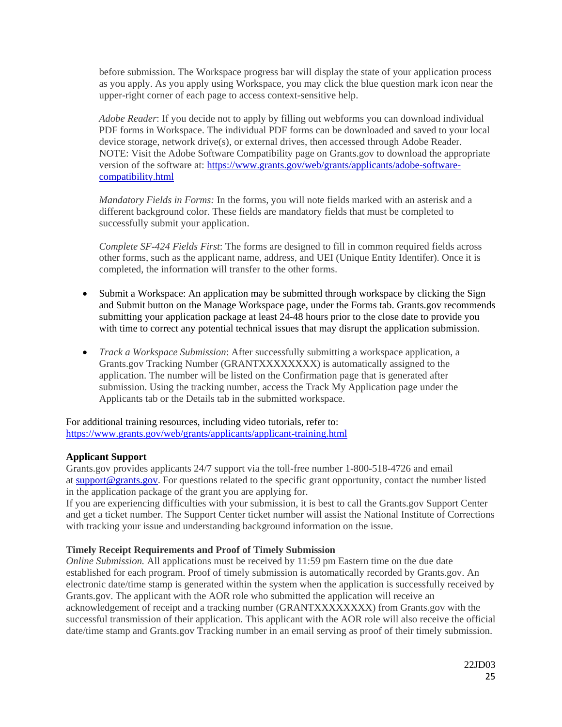before submission. The Workspace progress bar will display the state of your application process as you apply. As you apply using Workspace, you may click the blue question mark icon near the upper-right corner of each page to access context-sensitive help.

*Adobe Reader*: If you decide not to apply by filling out webforms you can download individual PDF forms in Workspace. The individual PDF forms can be downloaded and saved to your local device storage, network drive(s), or external drives, then accessed through Adobe Reader. NOTE: Visit the Adobe Software Compatibility page on Grants.gov to download the appropriate version of the software at: [https://www.grants.gov/web/grants/applicants/adobe-software](https://www.grants.gov/web/grants/applicants/adobe-software-compatibility.html)[compatibility.html](https://www.grants.gov/web/grants/applicants/adobe-software-compatibility.html)

*Mandatory Fields in Forms:* In the forms, you will note fields marked with an asterisk and a different background color. These fields are mandatory fields that must be completed to successfully submit your application.

*Complete SF-424 Fields First*: The forms are designed to fill in common required fields across other forms, such as the applicant name, address, and UEI (Unique Entity Identifer). Once it is completed, the information will transfer to the other forms.

- Submit a Workspace: An application may be submitted through workspace by clicking the Sign and Submit button on the Manage Workspace page, under the Forms tab. Grants.gov recommends submitting your application package at least 24-48 hours prior to the close date to provide you with time to correct any potential technical issues that may disrupt the application submission.
- *Track a Workspace Submission*: After successfully submitting a workspace application, a Grants.gov Tracking Number (GRANTXXXXXXXX) is automatically assigned to the application. The number will be listed on the Confirmation page that is generated after submission. Using the tracking number, access the Track My Application page under the Applicants tab or the Details tab in the submitted workspace.

For additional training resources, including video tutorials, refer to: <https://www.grants.gov/web/grants/applicants/applicant-training.html>

# <span id="page-24-0"></span>**Applicant Support**

Grants.gov provides applicants 24/7 support via the toll-free number 1-800-518-4726 and email at [support@grants.gov.](mailto:support@grants.gov) For questions related to the specific grant opportunity, contact the number listed in the application package of the grant you are applying for.

If you are experiencing difficulties with your submission, it is best to call the Grants.gov Support Center and get a ticket number. The Support Center ticket number will assist the National Institute of Corrections with tracking your issue and understanding background information on the issue.

# <span id="page-24-1"></span>**Timely Receipt Requirements and Proof of Timely Submission**

*Online Submission.* All applications must be received by 11:59 pm Eastern time on the due date established for each program. Proof of timely submission is automatically recorded by Grants.gov. An electronic date/time stamp is generated within the system when the application is successfully received by Grants.gov. The applicant with the AOR role who submitted the application will receive an acknowledgement of receipt and a tracking number (GRANTXXXXXXXX) from Grants.gov with the successful transmission of their application. This applicant with the AOR role will also receive the official date/time stamp and Grants.gov Tracking number in an email serving as proof of their timely submission.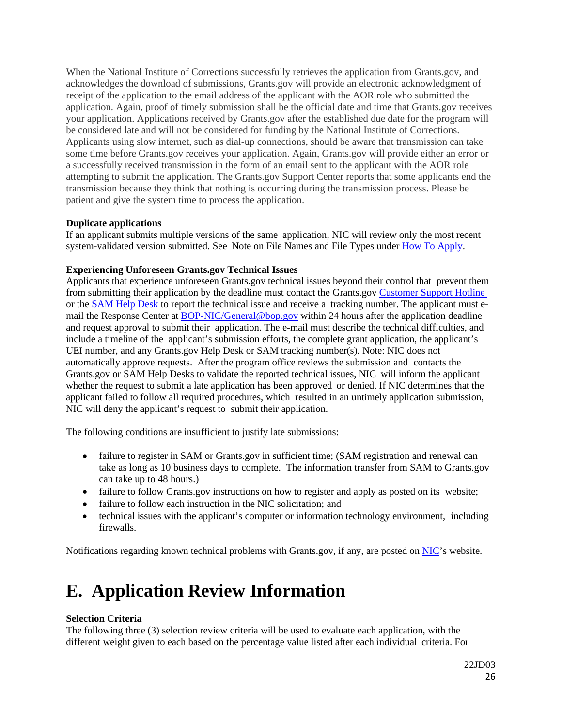When the National Institute of Corrections successfully retrieves the application from Grants.gov, and acknowledges the download of submissions, Grants.gov will provide an electronic acknowledgment of receipt of the application to the email address of the applicant with the AOR role who submitted the application. Again, proof of timely submission shall be the official date and time that Grants.gov receives your application. Applications received by Grants.gov after the established due date for the program will be considered late and will not be considered for funding by the National Institute of Corrections. Applicants using slow internet, such as dial-up connections, should be aware that transmission can take some time before Grants.gov receives your application. Again, Grants.gov will provide either an error or a successfully received transmission in the form of an email sent to the applicant with the AOR role attempting to submit the application. The Grants.gov Support Center reports that some applicants end the transmission because they think that nothing is occurring during the transmission process. Please be patient and give the system time to process the application.

## <span id="page-25-0"></span>**Duplicate applications**

If an applicant submits multiple versions of the same application, NIC will review only the most recent system-validated version submitted. See Note on File Names and File Types under How To [Apply.](#page-21-0)

# <span id="page-25-1"></span>**Experiencing Unforeseen Grants.gov Technical Issues**

Applicants that experience unforeseen Grants.gov technical issues beyond their control that prevent them from submitting their application by the deadline must contact the Grants.gov Customer [Support Hotline](https://www.grants.gov/web/grants/support.html) or the [SAM](https://sam.gov/content/help) Help Desk to report the technical issue and receive a tracking number. The applicant must email the Response Center at **[BOP-NIC/General@bop.gov](mailto:BOP-NIC/General@bop.gov)** within 24 hours after the application deadline and request approval to submit their application. The e-mail must describe the technical difficulties, and include a timeline of the applicant's submission efforts, the complete grant application, the applicant's UEI number, and any Grants.gov Help Desk or SAM tracking number(s). Note: NIC does not automatically approve requests. After the program office reviews the submission and contacts the Grants.gov or SAM Help Desks to validate the reported technical issues, NIC will inform the applicant whether the request to submit a late application has been approved or denied. If NIC determines that the applicant failed to follow all required procedures, which resulted in an untimely application submission, NIC will deny the applicant's request to submit their application.

The following conditions are insufficient to justify late submissions:

- failure to register in SAM or Grants.gov in sufficient time; (SAM registration and renewal can take as long as 10 business days to complete. The information transfer from SAM to Grants.gov can take up to 48 hours.)
- failure to follow Grants.gov instructions on how to register and apply as posted on its website;
- failure to follow each instruction in the NIC solicitation; and
- technical issues with the applicant's computer or information technology environment, including firewalls.

Notifications regarding known technical problems with Grants.gov, if any, are posted on [NIC'](https://www.nicic.gov/)s website.

# <span id="page-25-2"></span>**E. Application Review Information**

# <span id="page-25-3"></span>**Selection Criteria**

The following three (3) selection review criteria will be used to evaluate each application, with the different weight given to each based on the percentage value listed after each individual criteria. For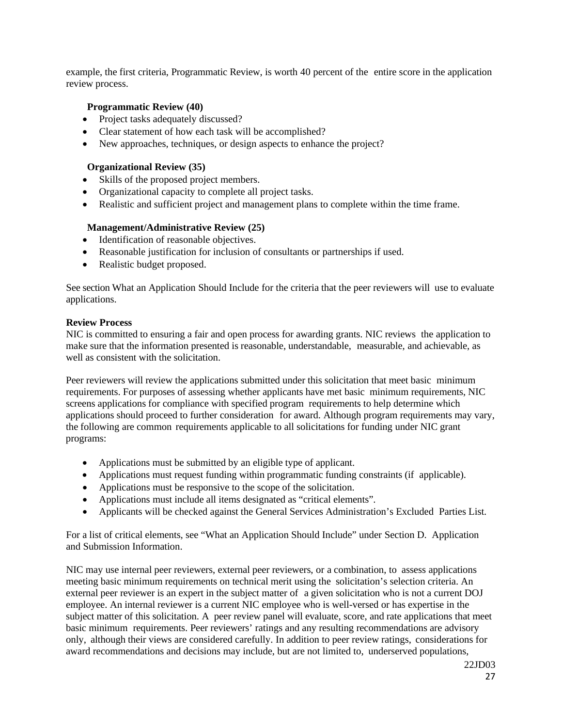example, the first criteria, Programmatic Review, is worth 40 percent of the entire score in the application review process.

## <span id="page-26-0"></span>**Programmatic Review (40)**

- Project tasks adequately discussed?
- Clear statement of how each task will be accomplished?
- New approaches, techniques, or design aspects to enhance the project?

## <span id="page-26-1"></span>**Organizational Review (35)**

- Skills of the proposed project members.
- Organizational capacity to complete all project tasks.
- Realistic and sufficient project and management plans to complete within the time frame.

## <span id="page-26-2"></span>**Management/Administrative Review (25)**

- Identification of reasonable objectives.
- Reasonable justification for inclusion of consultants or partnerships if used.
- Realistic budget proposed.

See section What an Application Should Include for the criteria that the peer reviewers will use to evaluate applications.

### <span id="page-26-3"></span>**Review Process**

NIC is committed to ensuring a fair and open process for awarding grants. NIC reviews the application to make sure that the information presented is reasonable, understandable, measurable, and achievable, as well as consistent with the solicitation.

Peer reviewers will review the applications submitted under this solicitation that meet basic minimum requirements. For purposes of assessing whether applicants have met basic minimum requirements, NIC screens applications for compliance with specified program requirements to help determine which applications should proceed to further consideration for award. Although program requirements may vary, the following are common requirements applicable to all solicitations for funding under NIC grant programs:

- Applications must be submitted by an eligible type of applicant.
- Applications must request funding within programmatic funding constraints (if applicable).
- Applications must be responsive to the scope of the solicitation.
- Applications must include all items designated as "critical elements".
- Applicants will be checked against the General Services Administration's Excluded Parties List.

For a list of critical elements, see "What an Application Should Include" under Section D. Application and Submission Information.

NIC may use internal peer reviewers, external peer reviewers, or a combination, to assess applications meeting basic minimum requirements on technical merit using the solicitation's selection criteria. An external peer reviewer is an expert in the subject matter of a given solicitation who is not a current DOJ employee. An internal reviewer is a current NIC employee who is well-versed or has expertise in the subject matter of this solicitation. A peer review panel will evaluate, score, and rate applications that meet basic minimum requirements. Peer reviewers' ratings and any resulting recommendations are advisory only, although their views are considered carefully. In addition to peer review ratings, considerations for award recommendations and decisions may include, but are not limited to, underserved populations,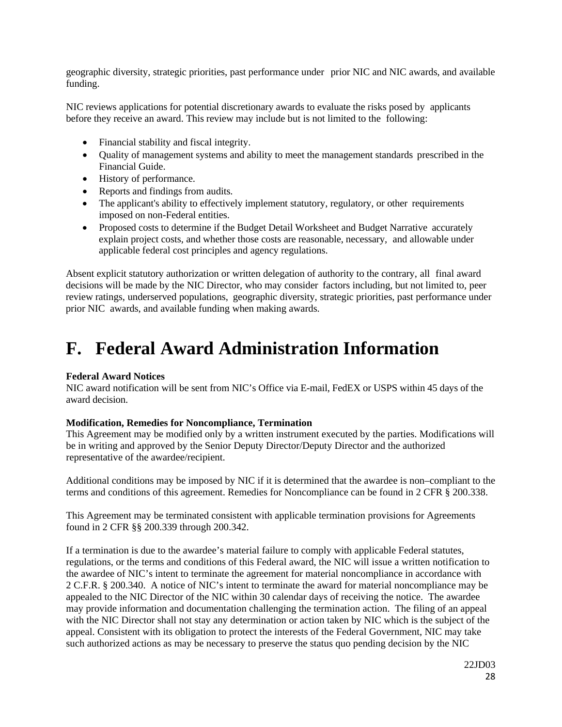geographic diversity, strategic priorities, past performance under prior NIC and NIC awards, and available funding.

NIC reviews applications for potential discretionary awards to evaluate the risks posed by applicants before they receive an award. This review may include but is not limited to the following:

- Financial stability and fiscal integrity.
- Quality of management systems and ability to meet the management standards prescribed in the Financial Guide.
- History of performance.
- Reports and findings from audits.
- The applicant's ability to effectively implement statutory, regulatory, or other requirements imposed on non-Federal entities.
- Proposed costs to determine if the Budget Detail Worksheet and Budget Narrative accurately explain project costs, and whether those costs are reasonable, necessary, and allowable under applicable federal cost principles and agency regulations.

Absent explicit statutory authorization or written delegation of authority to the contrary, all final award decisions will be made by the NIC Director, who may consider factors including, but not limited to, peer review ratings, underserved populations, geographic diversity, strategic priorities, past performance under prior NIC awards, and available funding when making awards.

# <span id="page-27-0"></span>**F. Federal Award Administration Information**

# <span id="page-27-1"></span>**Federal Award Notices**

NIC award notification will be sent from NIC's Office via E-mail, FedEX or USPS within 45 days of the award decision.

### **Modification, Remedies for Noncompliance, Termination**

This Agreement may be modified only by a written instrument executed by the parties. Modifications will be in writing and approved by the Senior Deputy Director/Deputy Director and the authorized representative of the awardee/recipient.

Additional conditions may be imposed by NIC if it is determined that the awardee is non–compliant to the terms and conditions of this agreement. Remedies for Noncompliance can be found in 2 CFR § 200.338.

This Agreement may be terminated consistent with applicable termination provisions for Agreements found in 2 CFR §§ 200.339 through 200.342.

If a termination is due to the awardee's material failure to comply with applicable Federal statutes, regulations, or the terms and conditions of this Federal award, the NIC will issue a written notification to the awardee of NIC's intent to terminate the agreement for material noncompliance in accordance with 2 C.F.R. § 200.340. A notice of NIC's intent to terminate the award for material noncompliance may be appealed to the NIC Director of the NIC within 30 calendar days of receiving the notice. The awardee may provide information and documentation challenging the termination action. The filing of an appeal with the NIC Director shall not stay any determination or action taken by NIC which is the subject of the appeal. Consistent with its obligation to protect the interests of the Federal Government, NIC may take such authorized actions as may be necessary to preserve the status quo pending decision by the NIC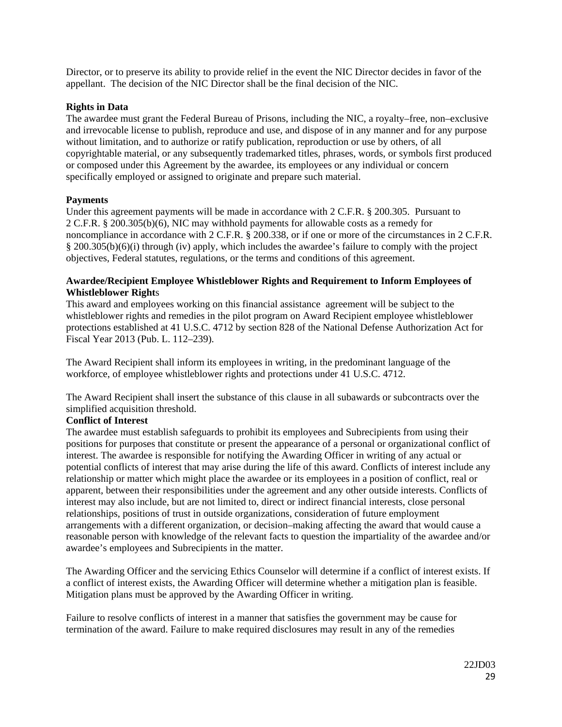Director, or to preserve its ability to provide relief in the event the NIC Director decides in favor of the appellant. The decision of the NIC Director shall be the final decision of the NIC.

### **Rights in Data**

The awardee must grant the Federal Bureau of Prisons, including the NIC, a royalty–free, non–exclusive and irrevocable license to publish, reproduce and use, and dispose of in any manner and for any purpose without limitation, and to authorize or ratify publication, reproduction or use by others, of all copyrightable material, or any subsequently trademarked titles, phrases, words, or symbols first produced or composed under this Agreement by the awardee, its employees or any individual or concern specifically employed or assigned to originate and prepare such material.

## **Payments**

Under this agreement payments will be made in accordance with 2 C.F.R. § 200.305. Pursuant to 2 C.F.R. § 200.305(b)(6), NIC may withhold payments for allowable costs as a remedy for noncompliance in accordance with 2 C.F.R. § 200.338, or if one or more of the circumstances in 2 C.F.R. § 200.305(b)(6)(i) through (iv) apply, which includes the awardee's failure to comply with the project objectives, Federal statutes, regulations, or the terms and conditions of this agreement.

## **Awardee/Recipient Employee Whistleblower Rights and Requirement to Inform Employees of Whistleblower Right**s

This award and employees working on this financial assistance agreement will be subject to the whistleblower rights and remedies in the pilot program on Award Recipient employee whistleblower protections established at 41 U.S.C. 4712 by section 828 of the National Defense Authorization Act for Fiscal Year 2013 (Pub. L. 112–239).

The Award Recipient shall inform its employees in writing, in the predominant language of the workforce, of employee whistleblower rights and protections under 41 U.S.C. 4712.

The Award Recipient shall insert the substance of this clause in all subawards or subcontracts over the simplified acquisition threshold.

## **Conflict of Interest**

The awardee must establish safeguards to prohibit its employees and Subrecipients from using their positions for purposes that constitute or present the appearance of a personal or organizational conflict of interest. The awardee is responsible for notifying the Awarding Officer in writing of any actual or potential conflicts of interest that may arise during the life of this award. Conflicts of interest include any relationship or matter which might place the awardee or its employees in a position of conflict, real or apparent, between their responsibilities under the agreement and any other outside interests. Conflicts of interest may also include, but are not limited to, direct or indirect financial interests, close personal relationships, positions of trust in outside organizations, consideration of future employment arrangements with a different organization, or decision–making affecting the award that would cause a reasonable person with knowledge of the relevant facts to question the impartiality of the awardee and/or awardee's employees and Subrecipients in the matter.

The Awarding Officer and the servicing Ethics Counselor will determine if a conflict of interest exists. If a conflict of interest exists, the Awarding Officer will determine whether a mitigation plan is feasible. Mitigation plans must be approved by the Awarding Officer in writing.

Failure to resolve conflicts of interest in a manner that satisfies the government may be cause for termination of the award. Failure to make required disclosures may result in any of the remedies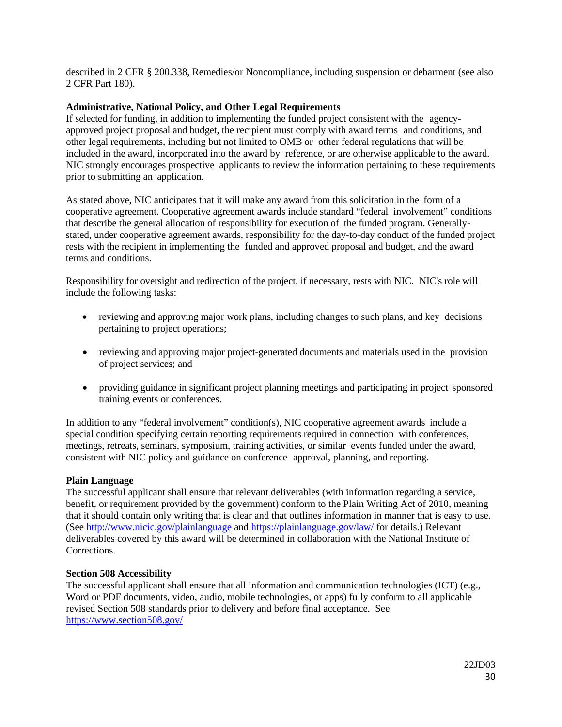described in 2 CFR § 200.338, Remedies/or Noncompliance, including suspension or debarment (see also 2 CFR Part 180).

## <span id="page-29-0"></span>**Administrative, National Policy, and Other Legal Requirements**

If selected for funding, in addition to implementing the funded project consistent with the agencyapproved project proposal and budget, the recipient must comply with award terms and conditions, and other legal requirements, including but not limited to OMB or other federal regulations that will be included in the award, incorporated into the award by reference, or are otherwise applicable to the award. NIC strongly encourages prospective applicants to review the information pertaining to these requirements prior to submitting an application.

As stated above, NIC anticipates that it will make any award from this solicitation in the form of a cooperative agreement. Cooperative agreement awards include standard "federal involvement" conditions that describe the general allocation of responsibility for execution of the funded program. Generallystated, under cooperative agreement awards, responsibility for the day-to-day conduct of the funded project rests with the recipient in implementing the funded and approved proposal and budget, and the award terms and conditions.

Responsibility for oversight and redirection of the project, if necessary, rests with NIC. NIC's role will include the following tasks:

- reviewing and approving major work plans, including changes to such plans, and key decisions pertaining to project operations;
- reviewing and approving major project-generated documents and materials used in the provision of project services; and
- providing guidance in significant project planning meetings and participating in project sponsored training events or conferences.

In addition to any "federal involvement" condition(s), NIC cooperative agreement awards include a special condition specifying certain reporting requirements required in connection with conferences, meetings, retreats, seminars, symposium, training activities, or similar events funded under the award, consistent with NIC policy and guidance on conference approval, planning, and reporting.

### <span id="page-29-1"></span>**Plain Language**

The successful applicant shall ensure that relevant deliverables (with information regarding a service, benefit, or requirement provided by the government) conform to the Plain Writing Act of 2010, meaning that it should contain only writing that is clear and that outlines information in manner that is easy to use. (See<http://www.nicic.gov/plainlanguage> and<https://plainlanguage.gov/law/> for details.) Relevant deliverables covered by this award will be determined in collaboration with the National Institute of Corrections.

### <span id="page-29-2"></span>**Section 508 Accessibility**

The successful applicant shall ensure that all information and communication technologies (ICT) (e.g., Word or PDF documents, video, audio, mobile technologies, or apps) fully conform to all applicable revised Section 508 standards prior to delivery and before final acceptance. See <https://www.section508.gov/>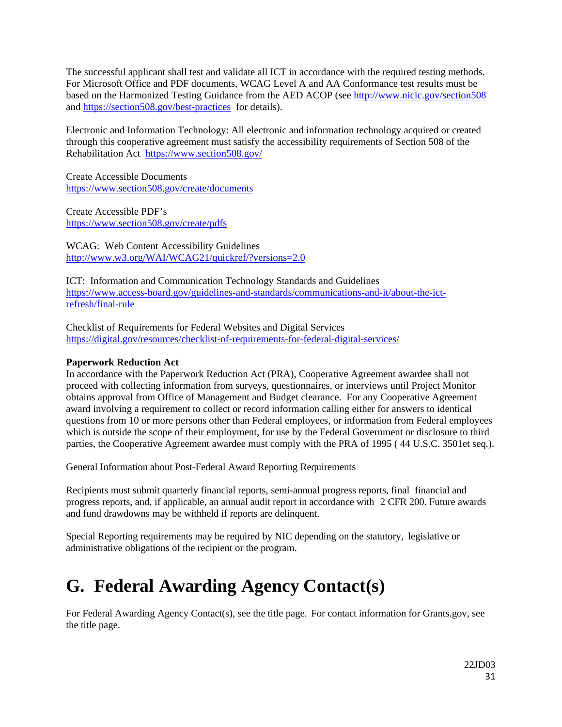The successful applicant shall test and validate all ICT in accordance with the required testing methods. For Microsoft Office and PDF documents, WCAG Level A and AA Conformance test results must be based on the Harmonized Testing Guidance from the AED ACOP (see <http://www.nicic.gov/section508> and<https://section508.gov/best-practices>for details).

Electronic and Information Technology: All electronic and information technology acquired or created through this cooperative agreement must satisfy the accessibility requirements of Section 508 of the Rehabilitation Act <https://www.section508.gov/>

Create Accessible Documents <https://www.section508.gov/create/documents>

Create Accessible PDF's <https://www.section508.gov/create/pdfs>

WCAG: Web Content Accessibility Guidelines <http://www.w3.org/WAI/WCAG21/quickref/?versions=2.0>

ICT: Information and Communication Technology Standards and Guidelines [https://www.access-board.gov/guidelines-and-standards/communications-and-it/about-the-ict](https://www.access-board.gov/guidelines-and-standards/communications-and-it/about-the-ict-refresh/final-rule)[refresh/final-rule](https://www.access-board.gov/guidelines-and-standards/communications-and-it/about-the-ict-refresh/final-rule)

Checklist of Requirements for Federal Websites and Digital Services <https://digital.gov/resources/checklist-of-requirements-for-federal-digital-services/>

## <span id="page-30-0"></span>**Paperwork Reduction Act**

In accordance with the Paperwork Reduction Act (PRA), Cooperative Agreement awardee shall not proceed with collecting information from surveys, questionnaires, or interviews until Project Monitor obtains approval from Office of Management and Budget clearance. For any Cooperative Agreement award involving a requirement to collect or record information calling either for answers to identical questions from 10 or more persons other than Federal employees, or information from Federal employees which is outside the scope of their employment, for use by the Federal Government or disclosure to third parties, the Cooperative Agreement awardee must comply with the PRA of 1995 ( 44 U.S.C. 3501et seq.).

General Information about Post-Federal Award Reporting Requirements

Recipients must submit quarterly financial reports, semi-annual progress reports, final financial and progress reports, and, if applicable, an annual audit report in accordance with 2 CFR 200. Future awards and fund drawdowns may be withheld if reports are delinquent.

Special Reporting requirements may be required by NIC depending on the statutory, legislative or administrative obligations of the recipient or the program.

# <span id="page-30-1"></span>**G. Federal Awarding Agency Contact(s)**

For Federal Awarding Agency Contact(s), see the title page. For contact information for Grants.gov, see the title page.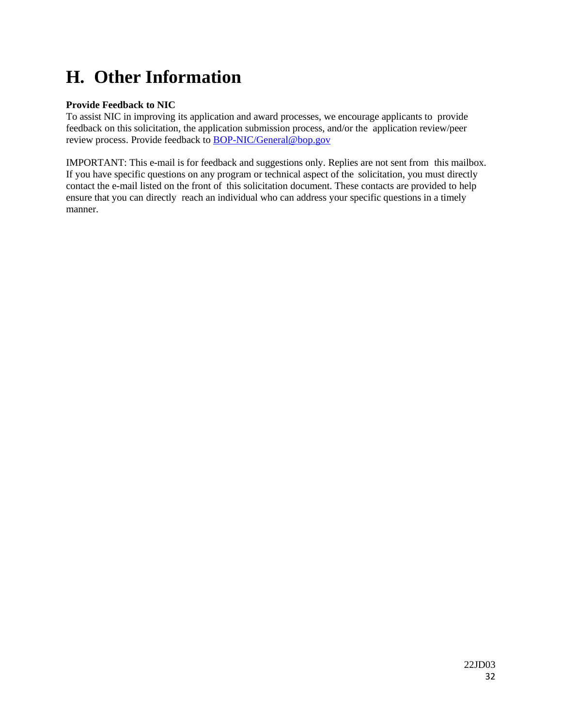# <span id="page-31-0"></span>**H. Other Information**

# <span id="page-31-1"></span>**Provide Feedback to NIC**

To assist NIC in improving its application and award processes, we encourage applicants to provide feedback on this solicitation, the application submission process, and/or the application review/peer review process. Provide feedback to **BOP-NIC/General@bop.gov** 

IMPORTANT: This e-mail is for feedback and suggestions only. Replies are not sent from this mailbox. If you have specific questions on any program or technical aspect of the solicitation, you must directly contact the e-mail listed on the front of this solicitation document. These contacts are provided to help ensure that you can directly reach an individual who can address your specific questions in a timely manner.